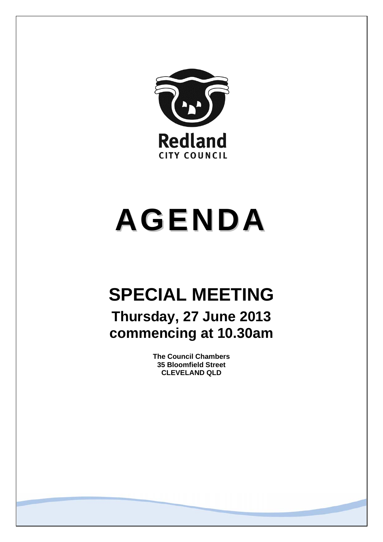

# **AGENDA**

# **SPECIAL MEETING**

**Thursday, 27 June 2013 commencing at 10.30am** 

> **The Council Chambers 35 Bloomfield Street CLEVELAND QLD**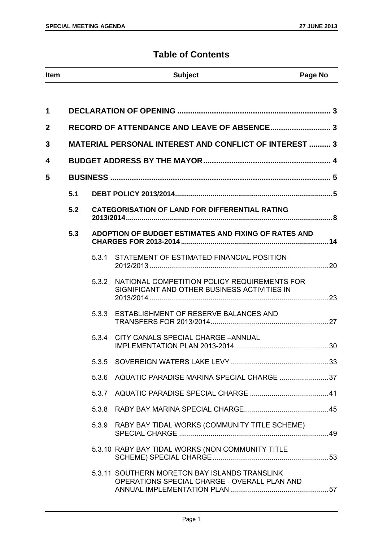# **Table of Contents**

| Item | <b>Subject</b> | Page No |
|------|----------------|---------|

| 1              |     |                                             |                                                                                               |  |
|----------------|-----|---------------------------------------------|-----------------------------------------------------------------------------------------------|--|
| $\overline{2}$ |     | RECORD OF ATTENDANCE AND LEAVE OF ABSENCE 3 |                                                                                               |  |
| 3              |     |                                             | <b>MATERIAL PERSONAL INTEREST AND CONFLICT OF INTEREST  3</b>                                 |  |
| 4              |     |                                             |                                                                                               |  |
| 5              |     |                                             |                                                                                               |  |
|                | 5.1 |                                             |                                                                                               |  |
|                | 5.2 |                                             | <b>CATEGORISATION OF LAND FOR DIFFERENTIAL RATING</b>                                         |  |
|                | 5.3 |                                             | ADOPTION OF BUDGET ESTIMATES AND FIXING OF RATES AND                                          |  |
|                |     | 5.3.1                                       | STATEMENT OF ESTIMATED FINANCIAL POSITION                                                     |  |
|                |     | 5.3.2                                       | NATIONAL COMPETITION POLICY REQUIREMENTS FOR<br>SIGNIFICANT AND OTHER BUSINESS ACTIVITIES IN  |  |
|                |     | 5.3.3                                       | ESTABLISHMENT OF RESERVE BALANCES AND                                                         |  |
|                |     | 5.3.4                                       | CITY CANALS SPECIAL CHARGE - ANNUAL                                                           |  |
|                |     |                                             |                                                                                               |  |
|                |     |                                             | 5.3.6 AQUATIC PARADISE MARINA SPECIAL CHARGE 37                                               |  |
|                |     | 5.3.7                                       |                                                                                               |  |
|                |     | 5.3.8                                       |                                                                                               |  |
|                |     | 5.3.9                                       | RABY BAY TIDAL WORKS (COMMUNITY TITLE SCHEME)                                                 |  |
|                |     |                                             | 5.3.10 RABY BAY TIDAL WORKS (NON COMMUNITY TITLE                                              |  |
|                |     |                                             | 5.3.11 SOUTHERN MORETON BAY ISLANDS TRANSLINK<br>OPERATIONS SPECIAL CHARGE - OVERALL PLAN AND |  |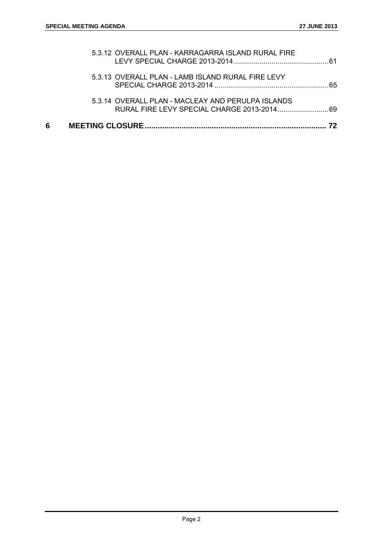| 6 |                                                    | 72 |
|---|----------------------------------------------------|----|
|   | 5.3.14 OVERALL PLAN - MACLEAY AND PERULPA ISLANDS  |    |
|   | 5.3.13 OVERALL PLAN - LAMB ISLAND RURAL FIRE LEVY  |    |
|   | 5.3.12 OVERALL PLAN - KARRAGARRA ISLAND RURAL FIRE |    |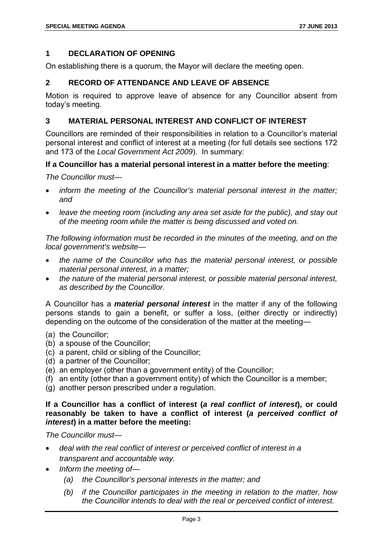# **1 DECLARATION OF OPENING**

On establishing there is a quorum, the Mayor will declare the meeting open.

# **2 RECORD OF ATTENDANCE AND LEAVE OF ABSENCE**

Motion is required to approve leave of absence for any Councillor absent from today's meeting.

# **3 MATERIAL PERSONAL INTEREST AND CONFLICT OF INTEREST**

Councillors are reminded of their responsibilities in relation to a Councillor's material personal interest and conflict of interest at a meeting (for full details see sections 172 and 173 of the *Local Government Act 2009*). In summary:

# **If a Councillor has a material personal interest in a matter before the meeting**:

*The Councillor must—* 

- *inform the meeting of the Councillor's material personal interest in the matter; and*
- *leave the meeting room (including any area set aside for the public), and stay out of the meeting room while the matter is being discussed and voted on.*

*The following information must be recorded in the minutes of the meeting, and on the local government's website—* 

- *the name of the Councillor who has the material personal interest, or possible material personal interest, in a matter;*
- *the nature of the material personal interest, or possible material personal interest, as described by the Councillor.*

A Councillor has a *material personal interest* in the matter if any of the following persons stands to gain a benefit, or suffer a loss, (either directly or indirectly) depending on the outcome of the consideration of the matter at the meeting—

- (a) the Councillor;
- (b) a spouse of the Councillor;
- (c) a parent, child or sibling of the Councillor;
- (d) a partner of the Councillor;
- (e) an employer (other than a government entity) of the Councillor;
- (f) an entity (other than a government entity) of which the Councillor is a member;
- (g) another person prescribed under a regulation.

# **If a Councillor has a conflict of interest (***a real conflict of interest***), or could reasonably be taken to have a conflict of interest (***a perceived conflict of interest***) in a matter before the meeting:**

*The Councillor must—* 

- *deal with the real conflict of interest or perceived conflict of interest in a transparent and accountable way.*
- *Inform the meeting of—* 
	- *(a) the Councillor's personal interests in the matter; and*
	- *(b) if the Councillor participates in the meeting in relation to the matter, how the Councillor intends to deal with the real or perceived conflict of interest.*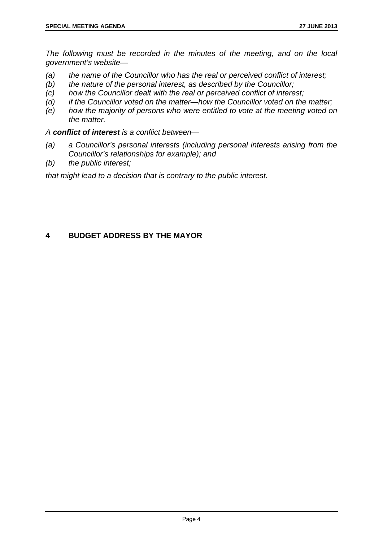*The following must be recorded in the minutes of the meeting, and on the local government's website—* 

- *(a) the name of the Councillor who has the real or perceived conflict of interest;*
- *(b) the nature of the personal interest, as described by the Councillor;*
- *(c) how the Councillor dealt with the real or perceived conflict of interest;*
- *(d) if the Councillor voted on the matter—how the Councillor voted on the matter;*
- *(e) how the majority of persons who were entitled to vote at the meeting voted on the matter.*

*A conflict of interest is a conflict between—* 

- *(a) a Councillor's personal interests (including personal interests arising from the Councillor's relationships for example); and*
- *(b) the public interest;*

*that might lead to a decision that is contrary to the public interest.* 

# **4 BUDGET ADDRESS BY THE MAYOR**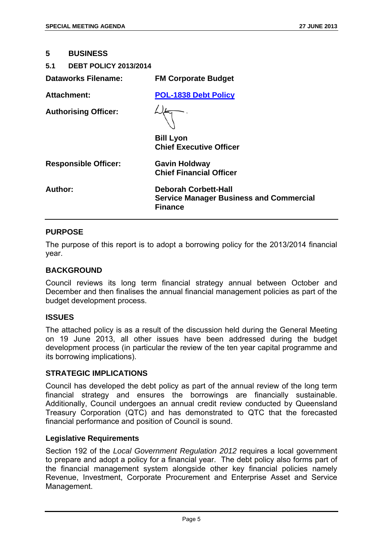#### **5 BUSINESS**

#### **5.1 DEBT POLICY 2013/2014**

| Dataworks Filename:         | <b>FM Corporate Budget</b>                                                                      |
|-----------------------------|-------------------------------------------------------------------------------------------------|
| Attachment:                 | <b>POL-1838 Debt Policy</b>                                                                     |
| <b>Authorising Officer:</b> |                                                                                                 |
|                             | <b>Bill Lyon</b><br><b>Chief Executive Officer</b>                                              |
| <b>Responsible Officer:</b> | <b>Gavin Holdway</b><br><b>Chief Financial Officer</b>                                          |
| Author:                     | <b>Deborah Corbett-Hall</b><br><b>Service Manager Business and Commercial</b><br><b>Finance</b> |

#### **PURPOSE**

The purpose of this report is to adopt a borrowing policy for the 2013/2014 financial year.

#### **BACKGROUND**

Council reviews its long term financial strategy annual between October and December and then finalises the annual financial management policies as part of the budget development process.

#### **ISSUES**

The attached policy is as a result of the discussion held during the General Meeting on 19 June 2013, all other issues have been addressed during the budget development process (in particular the review of the ten year capital programme and its borrowing implications).

#### **STRATEGIC IMPLICATIONS**

Council has developed the debt policy as part of the annual review of the long term financial strategy and ensures the borrowings are financially sustainable. Additionally, Council undergoes an annual credit review conducted by Queensland Treasury Corporation (QTC) and has demonstrated to QTC that the forecasted financial performance and position of Council is sound.

#### **Legislative Requirements**

Section 192 of the *Local Government Regulation 2012* requires a local government to prepare and adopt a policy for a financial year. The debt policy also forms part of the financial management system alongside other key financial policies namely Revenue, Investment, Corporate Procurement and Enterprise Asset and Service Management.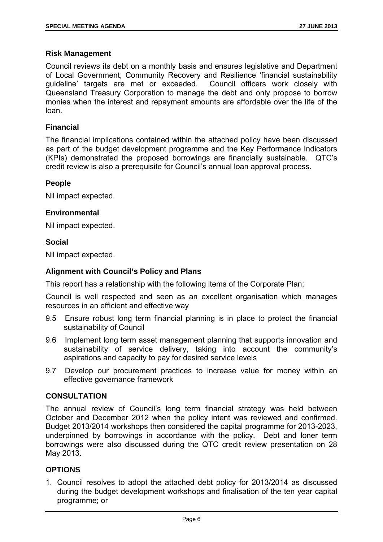# **Risk Management**

Council reviews its debt on a monthly basis and ensures legislative and Department of Local Government, Community Recovery and Resilience 'financial sustainability guideline' targets are met or exceeded. Council officers work closely with Queensland Treasury Corporation to manage the debt and only propose to borrow monies when the interest and repayment amounts are affordable over the life of the loan.

# **Financial**

The financial implications contained within the attached policy have been discussed as part of the budget development programme and the Key Performance Indicators (KPIs) demonstrated the proposed borrowings are financially sustainable. QTC's credit review is also a prerequisite for Council's annual loan approval process.

# **People**

Nil impact expected.

# **Environmental**

Nil impact expected.

# **Social**

Nil impact expected.

# **Alignment with Council's Policy and Plans**

This report has a relationship with the following items of the Corporate Plan:

Council is well respected and seen as an excellent organisation which manages resources in an efficient and effective way

- 9.5 Ensure robust long term financial planning is in place to protect the financial sustainability of Council
- 9.6 Implement long term asset management planning that supports innovation and sustainability of service delivery, taking into account the community's aspirations and capacity to pay for desired service levels
- 9.7 Develop our procurement practices to increase value for money within an effective governance framework

# **CONSULTATION**

The annual review of Council's long term financial strategy was held between October and December 2012 when the policy intent was reviewed and confirmed. Budget 2013/2014 workshops then considered the capital programme for 2013-2023, underpinned by borrowings in accordance with the policy. Debt and loner term borrowings were also discussed during the QTC credit review presentation on 28 May 2013.

# **OPTIONS**

1. Council resolves to adopt the attached debt policy for 2013/2014 as discussed during the budget development workshops and finalisation of the ten year capital programme; or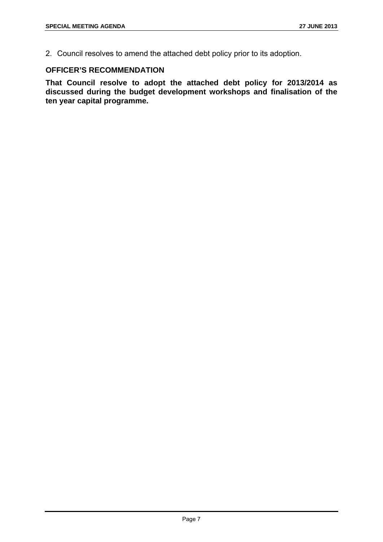2. Council resolves to amend the attached debt policy prior to its adoption.

# **OFFICER'S RECOMMENDATION**

**That Council resolve to adopt the attached debt policy for 2013/2014 as discussed during the budget development workshops and finalisation of the ten year capital programme.**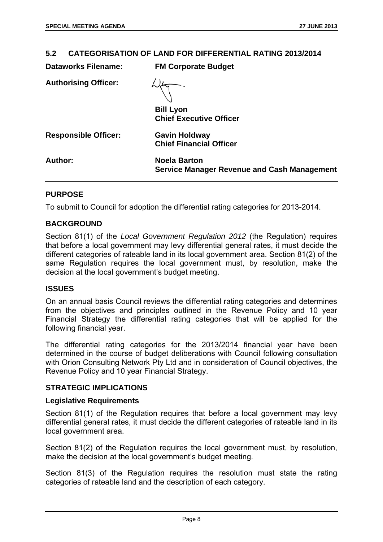# **5.2 CATEGORISATION OF LAND FOR DIFFERENTIAL RATING 2013/2014**

| <b>Dataworks Filename:</b>  | <b>FM Corporate Budget</b>                                                |
|-----------------------------|---------------------------------------------------------------------------|
| <b>Authorising Officer:</b> |                                                                           |
|                             | <b>Bill Lyon</b><br><b>Chief Executive Officer</b>                        |
| <b>Responsible Officer:</b> | <b>Gavin Holdway</b><br><b>Chief Financial Officer</b>                    |
| Author:                     | <b>Noela Barton</b><br><b>Service Manager Revenue and Cash Management</b> |

# **PURPOSE**

To submit to Council for adoption the differential rating categories for 2013-2014.

# **BACKGROUND**

Section 81(1) of the *Local Government Regulation 2012* (the Regulation) requires that before a local government may levy differential general rates, it must decide the different categories of rateable land in its local government area. Section 81(2) of the same Regulation requires the local government must, by resolution, make the decision at the local government's budget meeting.

#### **ISSUES**

On an annual basis Council reviews the differential rating categories and determines from the objectives and principles outlined in the Revenue Policy and 10 year Financial Strategy the differential rating categories that will be applied for the following financial year.

The differential rating categories for the 2013/2014 financial year have been determined in the course of budget deliberations with Council following consultation with Orion Consulting Network Pty Ltd and in consideration of Council objectives, the Revenue Policy and 10 year Financial Strategy.

# **STRATEGIC IMPLICATIONS**

#### **Legislative Requirements**

Section 81(1) of the Regulation requires that before a local government may levy differential general rates, it must decide the different categories of rateable land in its local government area.

Section 81(2) of the Regulation requires the local government must, by resolution, make the decision at the local government's budget meeting.

Section 81(3) of the Regulation requires the resolution must state the rating categories of rateable land and the description of each category.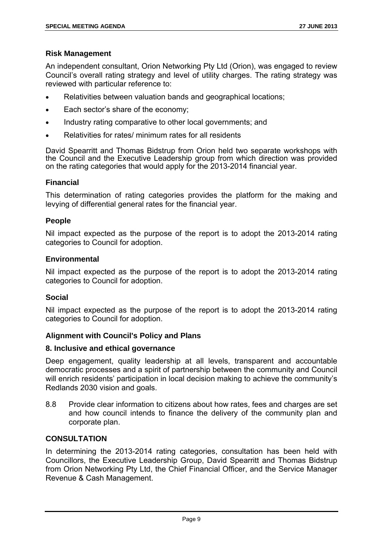# **Risk Management**

An independent consultant, Orion Networking Pty Ltd (Orion), was engaged to review Council's overall rating strategy and level of utility charges. The rating strategy was reviewed with particular reference to:

- Relativities between valuation bands and geographical locations;
- Each sector's share of the economy;
- Industry rating comparative to other local governments; and
- Relativities for rates/ minimum rates for all residents

David Spearritt and Thomas Bidstrup from Orion held two separate workshops with the Council and the Executive Leadership group from which direction was provided on the rating categories that would apply for the 2013-2014 financial year.

#### **Financial**

This determination of rating categories provides the platform for the making and levying of differential general rates for the financial year.

# **People**

Nil impact expected as the purpose of the report is to adopt the 2013-2014 rating categories to Council for adoption.

#### **Environmental**

Nil impact expected as the purpose of the report is to adopt the 2013-2014 rating categories to Council for adoption.

#### **Social**

Nil impact expected as the purpose of the report is to adopt the 2013-2014 rating categories to Council for adoption.

# **Alignment with Council's Policy and Plans**

#### **8. Inclusive and ethical governance**

Deep engagement, quality leadership at all levels, transparent and accountable democratic processes and a spirit of partnership between the community and Council will enrich residents' participation in local decision making to achieve the community's Redlands 2030 vision and goals.

8.8 Provide clear information to citizens about how rates, fees and charges are set and how council intends to finance the delivery of the community plan and corporate plan.

# **CONSULTATION**

In determining the 2013-2014 rating categories, consultation has been held with Councillors, the Executive Leadership Group, David Spearritt and Thomas Bidstrup from Orion Networking Pty Ltd, the Chief Financial Officer, and the Service Manager Revenue & Cash Management.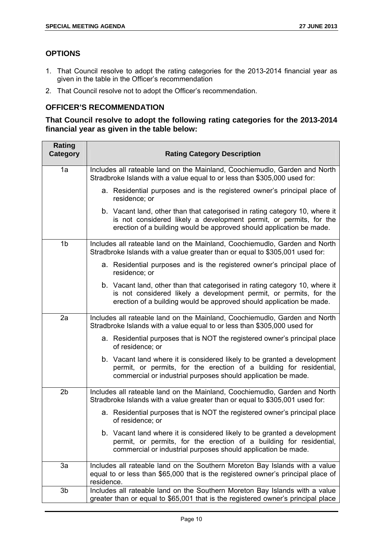# **OPTIONS**

- 1. That Council resolve to adopt the rating categories for the 2013-2014 financial year as given in the table in the Officer's recommendation
- 2. That Council resolve not to adopt the Officer's recommendation.

# **OFFICER'S RECOMMENDATION**

**That Council resolve to adopt the following rating categories for the 2013-2014 financial year as given in the table below:** 

| Rating<br><b>Category</b> | <b>Rating Category Description</b>                                                                                                                                                                                        |
|---------------------------|---------------------------------------------------------------------------------------------------------------------------------------------------------------------------------------------------------------------------|
| 1a                        | Includes all rateable land on the Mainland, Coochiemudlo, Garden and North<br>Stradbroke Islands with a value equal to or less than \$305,000 used for:                                                                   |
|                           | a. Residential purposes and is the registered owner's principal place of<br>residence; or                                                                                                                                 |
|                           | b. Vacant land, other than that categorised in rating category 10, where it<br>is not considered likely a development permit, or permits, for the<br>erection of a building would be approved should application be made. |
| 1b                        | Includes all rateable land on the Mainland, Coochiemudlo, Garden and North<br>Stradbroke Islands with a value greater than or equal to \$305,001 used for:                                                                |
|                           | a. Residential purposes and is the registered owner's principal place of<br>residence; or                                                                                                                                 |
|                           | b. Vacant land, other than that categorised in rating category 10, where it<br>is not considered likely a development permit, or permits, for the<br>erection of a building would be approved should application be made. |
| 2a                        | Includes all rateable land on the Mainland, Coochiemudlo, Garden and North<br>Stradbroke Islands with a value equal to or less than \$305,000 used for                                                                    |
|                           | a. Residential purposes that is NOT the registered owner's principal place<br>of residence; or                                                                                                                            |
|                           | b. Vacant land where it is considered likely to be granted a development<br>permit, or permits, for the erection of a building for residential,<br>commercial or industrial purposes should application be made.          |
| 2 <sub>b</sub>            | Includes all rateable land on the Mainland, Coochiemudlo, Garden and North<br>Stradbroke Islands with a value greater than or equal to \$305,001 used for:                                                                |
|                           | a. Residential purposes that is NOT the registered owner's principal place<br>of residence; or                                                                                                                            |
|                           | b. Vacant land where it is considered likely to be granted a development<br>permit, or permits, for the erection of a building for residential,<br>commercial or industrial purposes should application be made.          |
| 3a                        | Includes all rateable land on the Southern Moreton Bay Islands with a value<br>equal to or less than \$65,000 that is the registered owner's principal place of<br>residence.                                             |
| 3b                        | Includes all rateable land on the Southern Moreton Bay Islands with a value<br>greater than or equal to \$65,001 that is the registered owner's principal place                                                           |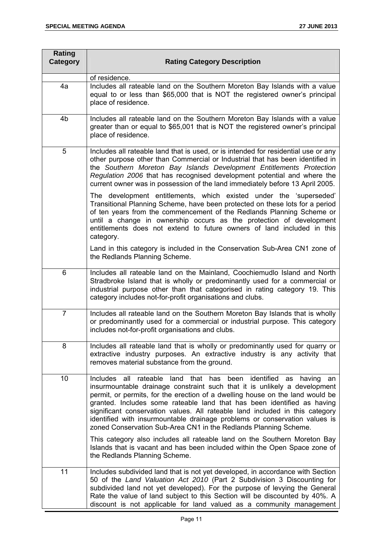| Rating<br>Category | <b>Rating Category Description</b>                                                                                                                                                                                                                                                                                                                                                                                                                                                                                                                   |
|--------------------|------------------------------------------------------------------------------------------------------------------------------------------------------------------------------------------------------------------------------------------------------------------------------------------------------------------------------------------------------------------------------------------------------------------------------------------------------------------------------------------------------------------------------------------------------|
|                    | of residence.                                                                                                                                                                                                                                                                                                                                                                                                                                                                                                                                        |
| 4a                 | Includes all rateable land on the Southern Moreton Bay Islands with a value<br>equal to or less than \$65,000 that is NOT the registered owner's principal<br>place of residence.                                                                                                                                                                                                                                                                                                                                                                    |
| 4b                 | Includes all rateable land on the Southern Moreton Bay Islands with a value<br>greater than or equal to \$65,001 that is NOT the registered owner's principal<br>place of residence.                                                                                                                                                                                                                                                                                                                                                                 |
| 5                  | Includes all rateable land that is used, or is intended for residential use or any<br>other purpose other than Commercial or Industrial that has been identified in<br>the Southern Moreton Bay Islands Development Entitlements Protection<br>Regulation 2006 that has recognised development potential and where the<br>current owner was in possession of the land immediately before 13 April 2005.                                                                                                                                              |
|                    | The development entitlements, which existed under the 'superseded'<br>Transitional Planning Scheme, have been protected on these lots for a period<br>of ten years from the commencement of the Redlands Planning Scheme or<br>until a change in ownership occurs as the protection of development<br>entitlements does not extend to future owners of land included in this<br>category.                                                                                                                                                            |
|                    | Land in this category is included in the Conservation Sub-Area CN1 zone of<br>the Redlands Planning Scheme.                                                                                                                                                                                                                                                                                                                                                                                                                                          |
| 6                  | Includes all rateable land on the Mainland, Coochiemudlo Island and North<br>Stradbroke Island that is wholly or predominantly used for a commercial or<br>industrial purpose other than that categorised in rating category 19. This<br>category includes not-for-profit organisations and clubs.                                                                                                                                                                                                                                                   |
| $\overline{7}$     | Includes all rateable land on the Southern Moreton Bay Islands that is wholly<br>or predominantly used for a commercial or industrial purpose. This category<br>includes not-for-profit organisations and clubs.                                                                                                                                                                                                                                                                                                                                     |
| 8                  | Includes all rateable land that is wholly or predominantly used for quarry or<br>extractive industry purposes. An extractive industry is any activity that<br>removes material substance from the ground.                                                                                                                                                                                                                                                                                                                                            |
| 10                 | Includes all rateable land that has<br>been identified as<br>having<br>an<br>insurmountable drainage constraint such that it is unlikely a development<br>permit, or permits, for the erection of a dwelling house on the land would be<br>granted. Includes some rateable land that has been identified as having<br>significant conservation values. All rateable land included in this category<br>identified with insurmountable drainage problems or conservation values is<br>zoned Conservation Sub-Area CN1 in the Redlands Planning Scheme. |
|                    | This category also includes all rateable land on the Southern Moreton Bay<br>Islands that is vacant and has been included within the Open Space zone of<br>the Redlands Planning Scheme.                                                                                                                                                                                                                                                                                                                                                             |
| 11                 | Includes subdivided land that is not yet developed, in accordance with Section<br>50 of the Land Valuation Act 2010 (Part 2 Subdivision 3 Discounting for<br>subdivided land not yet developed). For the purpose of levying the General<br>Rate the value of land subject to this Section will be discounted by 40%. A<br>discount is not applicable for land valued as a community management                                                                                                                                                       |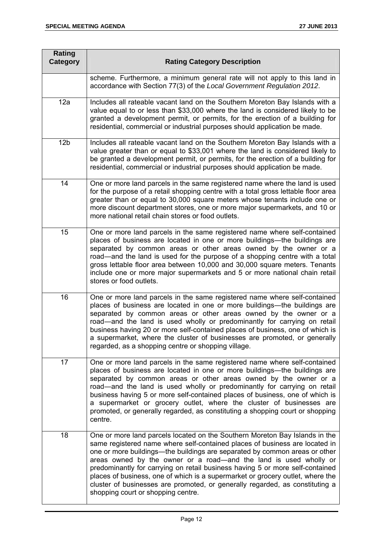| Rating<br>Category | <b>Rating Category Description</b>                                                                                                                                                                                                                                                                                                                                                                                                                                                                                                                                                                     |
|--------------------|--------------------------------------------------------------------------------------------------------------------------------------------------------------------------------------------------------------------------------------------------------------------------------------------------------------------------------------------------------------------------------------------------------------------------------------------------------------------------------------------------------------------------------------------------------------------------------------------------------|
|                    | scheme. Furthermore, a minimum general rate will not apply to this land in<br>accordance with Section 77(3) of the Local Government Regulation 2012.                                                                                                                                                                                                                                                                                                                                                                                                                                                   |
| 12a                | Includes all rateable vacant land on the Southern Moreton Bay Islands with a<br>value equal to or less than \$33,000 where the land is considered likely to be<br>granted a development permit, or permits, for the erection of a building for<br>residential, commercial or industrial purposes should application be made.                                                                                                                                                                                                                                                                           |
| 12 <sub>b</sub>    | Includes all rateable vacant land on the Southern Moreton Bay Islands with a<br>value greater than or equal to \$33,001 where the land is considered likely to<br>be granted a development permit, or permits, for the erection of a building for<br>residential, commercial or industrial purposes should application be made.                                                                                                                                                                                                                                                                        |
| 14                 | One or more land parcels in the same registered name where the land is used<br>for the purpose of a retail shopping centre with a total gross lettable floor area<br>greater than or equal to 30,000 square meters whose tenants include one or<br>more discount department stores, one or more major supermarkets, and 10 or<br>more national retail chain stores or food outlets.                                                                                                                                                                                                                    |
| 15                 | One or more land parcels in the same registered name where self-contained<br>places of business are located in one or more buildings—the buildings are<br>separated by common areas or other areas owned by the owner or a<br>road—and the land is used for the purpose of a shopping centre with a total<br>gross lettable floor area between 10,000 and 30,000 square meters. Tenants<br>include one or more major supermarkets and 5 or more national chain retail<br>stores or food outlets.                                                                                                       |
| 16                 | One or more land parcels in the same registered name where self-contained<br>places of business are located in one or more buildings—the buildings are<br>separated by common areas or other areas owned by the owner or a<br>road—and the land is used wholly or predominantly for carrying on retail<br>business having 20 or more self-contained places of business, one of which is<br>a supermarket, where the cluster of businesses are promoted, or generally<br>regarded, as a shopping centre or shopping village.                                                                            |
| 17                 | One or more land parcels in the same registered name where self-contained<br>places of business are located in one or more buildings—the buildings are<br>separated by common areas or other areas owned by the owner or a<br>road—and the land is used wholly or predominantly for carrying on retail<br>business having 5 or more self-contained places of business, one of which is<br>a supermarket or grocery outlet, where the cluster of businesses are<br>promoted, or generally regarded, as constituting a shopping court or shopping<br>centre.                                             |
| 18                 | One or more land parcels located on the Southern Moreton Bay Islands in the<br>same registered name where self-contained places of business are located in<br>one or more buildings-the buildings are separated by common areas or other<br>areas owned by the owner or a road—and the land is used wholly or<br>predominantly for carrying on retail business having 5 or more self-contained<br>places of business, one of which is a supermarket or grocery outlet, where the<br>cluster of businesses are promoted, or generally regarded, as constituting a<br>shopping court or shopping centre. |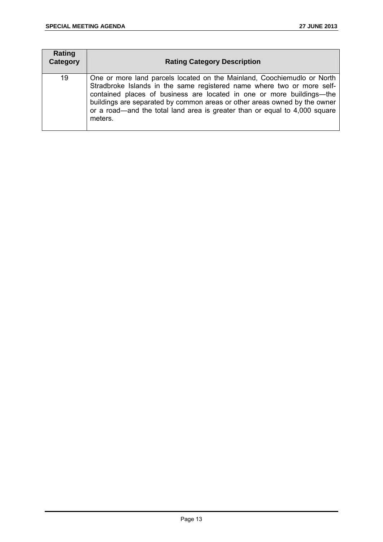| Rating<br>Category | <b>Rating Category Description</b>                                                                                                                                                                                                                                                                                                                                                               |
|--------------------|--------------------------------------------------------------------------------------------------------------------------------------------------------------------------------------------------------------------------------------------------------------------------------------------------------------------------------------------------------------------------------------------------|
| 19                 | One or more land parcels located on the Mainland, Coochiemudlo or North<br>Stradbroke Islands in the same registered name where two or more self-<br>contained places of business are located in one or more buildings—the<br>buildings are separated by common areas or other areas owned by the owner<br>or a road—and the total land area is greater than or equal to 4,000 square<br>meters. |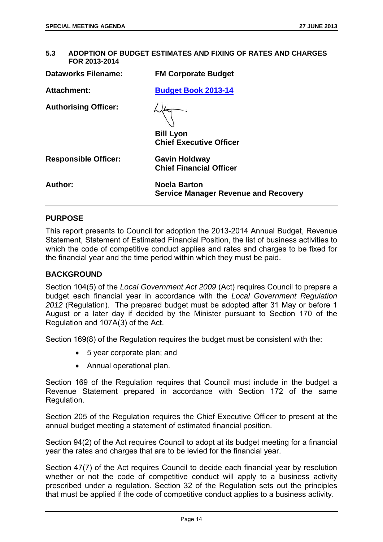| 5.3 | ADOPTION OF BUDGET ESTIMATES AND FIXING OF RATES AND CHARGES |
|-----|--------------------------------------------------------------|
|     | FOR 2013-2014                                                |

| <b>Dataworks Filename:</b>  | <b>FM Corporate Budget</b>                                  |
|-----------------------------|-------------------------------------------------------------|
| <b>Attachment:</b>          | <b>Budget Book 2013-14</b>                                  |
| <b>Authorising Officer:</b> | <b>Bill Lyon</b><br><b>Chief Executive Officer</b>          |
| <b>Responsible Officer:</b> | <b>Gavin Holdway</b><br><b>Chief Financial Officer</b>      |
| Author:                     | <b>Noela Barton</b><br>Service Manager Revenue and Recovery |

#### **PURPOSE**

This report presents to Council for adoption the 2013-2014 Annual Budget, Revenue Statement, Statement of Estimated Financial Position, the list of business activities to which the code of competitive conduct applies and rates and charges to be fixed for the financial year and the time period within which they must be paid.

#### **BACKGROUND**

Section 104(5) of the *Local Government Act 2009* (Act) requires Council to prepare a budget each financial year in accordance with the *Local Government Regulation 2012* (Regulation). The prepared budget must be adopted after 31 May or before 1 August or a later day if decided by the Minister pursuant to Section 170 of the Regulation and 107A(3) of the Act.

Section 169(8) of the Regulation requires the budget must be consistent with the:

- 5 year corporate plan; and
- Annual operational plan.

Section 169 of the Regulation requires that Council must include in the budget a Revenue Statement prepared in accordance with Section 172 of the same Regulation.

Section 205 of the Regulation requires the Chief Executive Officer to present at the annual budget meeting a statement of estimated financial position.

Section 94(2) of the Act requires Council to adopt at its budget meeting for a financial year the rates and charges that are to be levied for the financial year.

Section 47(7) of the Act requires Council to decide each financial year by resolution whether or not the code of competitive conduct will apply to a business activity prescribed under a regulation. Section 32 of the Regulation sets out the principles that must be applied if the code of competitive conduct applies to a business activity.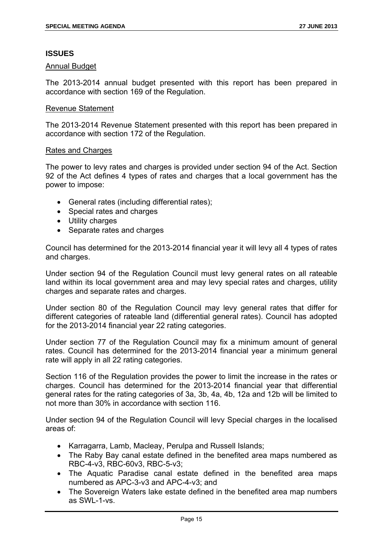# **ISSUES**

#### Annual Budget

The 2013-2014 annual budget presented with this report has been prepared in accordance with section 169 of the Regulation.

#### Revenue Statement

The 2013-2014 Revenue Statement presented with this report has been prepared in accordance with section 172 of the Regulation.

#### Rates and Charges

The power to levy rates and charges is provided under section 94 of the Act. Section 92 of the Act defines 4 types of rates and charges that a local government has the power to impose:

- General rates (including differential rates);
- Special rates and charges
- Utility charges
- Separate rates and charges

Council has determined for the 2013-2014 financial year it will levy all 4 types of rates and charges.

Under section 94 of the Regulation Council must levy general rates on all rateable land within its local government area and may levy special rates and charges, utility charges and separate rates and charges.

Under section 80 of the Regulation Council may levy general rates that differ for different categories of rateable land (differential general rates). Council has adopted for the 2013-2014 financial year 22 rating categories.

Under section 77 of the Regulation Council may fix a minimum amount of general rates. Council has determined for the 2013-2014 financial year a minimum general rate will apply in all 22 rating categories.

Section 116 of the Regulation provides the power to limit the increase in the rates or charges. Council has determined for the 2013-2014 financial year that differential general rates for the rating categories of 3a, 3b, 4a, 4b, 12a and 12b will be limited to not more than 30% in accordance with section 116.

Under section 94 of the Regulation Council will levy Special charges in the localised areas of:

- Karragarra, Lamb, Macleay, Perulpa and Russell Islands;
- The Raby Bay canal estate defined in the benefited area maps numbered as RBC-4-v3, RBC-60v3, RBC-5-v3;
- The Aquatic Paradise canal estate defined in the benefited area maps numbered as APC-3-v3 and APC-4-v3; and
- The Sovereign Waters lake estate defined in the benefited area map numbers as SWL-1-vs.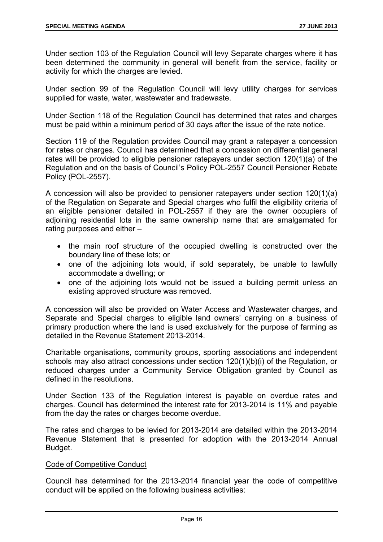Under section 103 of the Regulation Council will levy Separate charges where it has been determined the community in general will benefit from the service, facility or activity for which the charges are levied.

Under section 99 of the Regulation Council will levy utility charges for services supplied for waste, water, wastewater and tradewaste.

Under Section 118 of the Regulation Council has determined that rates and charges must be paid within a minimum period of 30 days after the issue of the rate notice.

Section 119 of the Regulation provides Council may grant a ratepayer a concession for rates or charges. Council has determined that a concession on differential general rates will be provided to eligible pensioner ratepayers under section 120(1)(a) of the Regulation and on the basis of Council's Policy POL-2557 Council Pensioner Rebate Policy (POL-2557).

A concession will also be provided to pensioner ratepayers under section 120(1)(a) of the Regulation on Separate and Special charges who fulfil the eligibility criteria of an eligible pensioner detailed in POL-2557 if they are the owner occupiers of adjoining residential lots in the same ownership name that are amalgamated for rating purposes and either –

- the main roof structure of the occupied dwelling is constructed over the boundary line of these lots; or
- one of the adjoining lots would, if sold separately, be unable to lawfully accommodate a dwelling; or
- one of the adjoining lots would not be issued a building permit unless an existing approved structure was removed.

A concession will also be provided on Water Access and Wastewater charges, and Separate and Special charges to eligible land owners' carrying on a business of primary production where the land is used exclusively for the purpose of farming as detailed in the Revenue Statement 2013-2014.

Charitable organisations, community groups, sporting associations and independent schools may also attract concessions under section 120(1)(b)(i) of the Regulation, or reduced charges under a Community Service Obligation granted by Council as defined in the resolutions.

Under Section 133 of the Regulation interest is payable on overdue rates and charges. Council has determined the interest rate for 2013-2014 is 11% and payable from the day the rates or charges become overdue.

The rates and charges to be levied for 2013-2014 are detailed within the 2013-2014 Revenue Statement that is presented for adoption with the 2013-2014 Annual Budget.

# Code of Competitive Conduct

Council has determined for the 2013-2014 financial year the code of competitive conduct will be applied on the following business activities: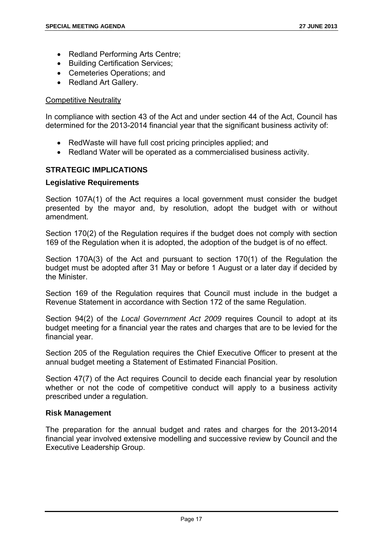- Redland Performing Arts Centre;
- Building Certification Services;
- Cemeteries Operations; and
- Redland Art Gallery.

# Competitive Neutrality

In compliance with section 43 of the Act and under section 44 of the Act, Council has determined for the 2013-2014 financial year that the significant business activity of:

- RedWaste will have full cost pricing principles applied; and
- Redland Water will be operated as a commercialised business activity.

# **STRATEGIC IMPLICATIONS**

# **Legislative Requirements**

Section 107A(1) of the Act requires a local government must consider the budget presented by the mayor and, by resolution, adopt the budget with or without amendment.

Section 170(2) of the Regulation requires if the budget does not comply with section 169 of the Regulation when it is adopted, the adoption of the budget is of no effect.

Section 170A(3) of the Act and pursuant to section 170(1) of the Regulation the budget must be adopted after 31 May or before 1 August or a later day if decided by the Minister.

Section 169 of the Regulation requires that Council must include in the budget a Revenue Statement in accordance with Section 172 of the same Regulation.

Section 94(2) of the *Local Government Act 2009* requires Council to adopt at its budget meeting for a financial year the rates and charges that are to be levied for the financial year.

Section 205 of the Regulation requires the Chief Executive Officer to present at the annual budget meeting a Statement of Estimated Financial Position.

Section 47(7) of the Act requires Council to decide each financial year by resolution whether or not the code of competitive conduct will apply to a business activity prescribed under a regulation.

#### **Risk Management**

The preparation for the annual budget and rates and charges for the 2013-2014 financial year involved extensive modelling and successive review by Council and the Executive Leadership Group.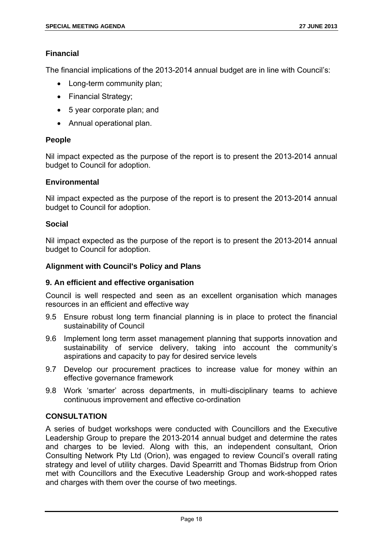# **Financial**

The financial implications of the 2013-2014 annual budget are in line with Council's:

- Long-term community plan:
- Financial Strategy;
- 5 year corporate plan; and
- Annual operational plan.

# **People**

Nil impact expected as the purpose of the report is to present the 2013-2014 annual budget to Council for adoption.

#### **Environmental**

Nil impact expected as the purpose of the report is to present the 2013-2014 annual budget to Council for adoption.

# **Social**

Nil impact expected as the purpose of the report is to present the 2013-2014 annual budget to Council for adoption.

# **Alignment with Council's Policy and Plans**

#### **9. An efficient and effective organisation**

Council is well respected and seen as an excellent organisation which manages resources in an efficient and effective way

- 9.5 Ensure robust long term financial planning is in place to protect the financial sustainability of Council
- 9.6 Implement long term asset management planning that supports innovation and sustainability of service delivery, taking into account the community's aspirations and capacity to pay for desired service levels
- 9.7 Develop our procurement practices to increase value for money within an effective governance framework
- 9.8 Work 'smarter' across departments, in multi-disciplinary teams to achieve continuous improvement and effective co-ordination

# **CONSULTATION**

A series of budget workshops were conducted with Councillors and the Executive Leadership Group to prepare the 2013-2014 annual budget and determine the rates and charges to be levied. Along with this, an independent consultant, Orion Consulting Network Pty Ltd (Orion), was engaged to review Council's overall rating strategy and level of utility charges. David Spearritt and Thomas Bidstrup from Orion met with Councillors and the Executive Leadership Group and work-shopped rates and charges with them over the course of two meetings.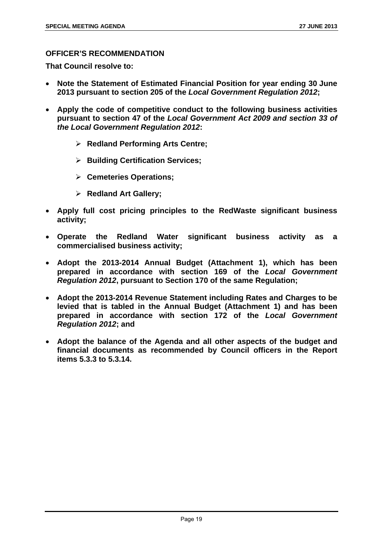# **OFFICER'S RECOMMENDATION**

**That Council resolve to:** 

- **Note the Statement of Estimated Financial Position for year ending 30 June 2013 pursuant to section 205 of the** *Local Government Regulation 2012***;**
- **Apply the code of competitive conduct to the following business activities pursuant to section 47 of the** *Local Government Act 2009 and section 33 of the Local Government Regulation 2012***:** 
	- **Redland Performing Arts Centre;**
	- **Building Certification Services;**
	- **Cemeteries Operations;**
	- **Redland Art Gallery;**
- **Apply full cost pricing principles to the RedWaste significant business activity;**
- **Operate the Redland Water significant business activity as a commercialised business activity;**
- **Adopt the 2013-2014 Annual Budget (Attachment 1), which has been prepared in accordance with section 169 of the** *Local Government Regulation 2012***, pursuant to Section 170 of the same Regulation;**
- **Adopt the 2013-2014 Revenue Statement including Rates and Charges to be levied that is tabled in the Annual Budget (Attachment 1) and has been prepared in accordance with section 172 of the** *Local Government Regulation 2012***; and**
- **Adopt the balance of the Agenda and all other aspects of the budget and financial documents as recommended by Council officers in the Report items 5.3.3 to 5.3.14.**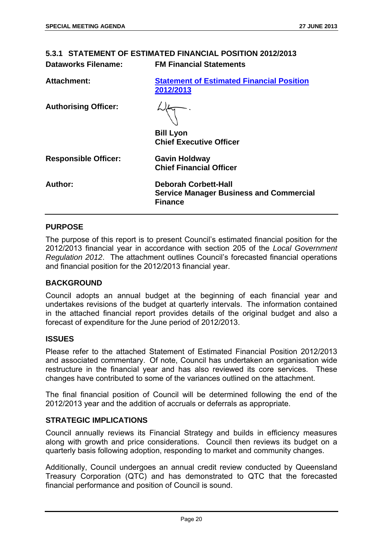| 5.3.1 STATEMENT OF ESTIMATED FINANCIAL POSITION 2012/2013 |                                                                                                 |  |
|-----------------------------------------------------------|-------------------------------------------------------------------------------------------------|--|
| <b>Dataworks Filename:</b>                                | <b>FM Financial Statements</b>                                                                  |  |
| Attachment:                                               | <b>Statement of Estimated Financial Position</b><br>2012/2013                                   |  |
| <b>Authorising Officer:</b>                               |                                                                                                 |  |
|                                                           | <b>Bill Lyon</b><br><b>Chief Executive Officer</b>                                              |  |
| <b>Responsible Officer:</b>                               | <b>Gavin Holdway</b><br><b>Chief Financial Officer</b>                                          |  |
| Author:                                                   | <b>Deborah Corbett-Hall</b><br><b>Service Manager Business and Commercial</b><br><b>Finance</b> |  |

# **PURPOSE**

The purpose of this report is to present Council's estimated financial position for the 2012/2013 financial year in accordance with section 205 of the *Local Government Regulation 2012*. The attachment outlines Council's forecasted financial operations and financial position for the 2012/2013 financial year.

#### **BACKGROUND**

Council adopts an annual budget at the beginning of each financial year and undertakes revisions of the budget at quarterly intervals. The information contained in the attached financial report provides details of the original budget and also a forecast of expenditure for the June period of 2012/2013.

#### **ISSUES**

Please refer to the attached Statement of Estimated Financial Position 2012/2013 and associated commentary. Of note, Council has undertaken an organisation wide restructure in the financial year and has also reviewed its core services. These changes have contributed to some of the variances outlined on the attachment.

The final financial position of Council will be determined following the end of the 2012/2013 year and the addition of accruals or deferrals as appropriate.

# **STRATEGIC IMPLICATIONS**

Council annually reviews its Financial Strategy and builds in efficiency measures along with growth and price considerations. Council then reviews its budget on a quarterly basis following adoption, responding to market and community changes.

Additionally, Council undergoes an annual credit review conducted by Queensland Treasury Corporation (QTC) and has demonstrated to QTC that the forecasted financial performance and position of Council is sound.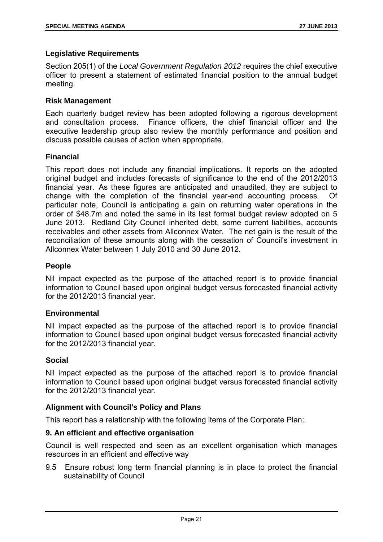# **Legislative Requirements**

Section 205(1) of the *Local Government Regulation 2012* requires the chief executive officer to present a statement of estimated financial position to the annual budget meeting.

#### **Risk Management**

Each quarterly budget review has been adopted following a rigorous development and consultation process. Finance officers, the chief financial officer and the executive leadership group also review the monthly performance and position and discuss possible causes of action when appropriate.

# **Financial**

This report does not include any financial implications. It reports on the adopted original budget and includes forecasts of significance to the end of the 2012/2013 financial year. As these figures are anticipated and unaudited, they are subject to change with the completion of the financial year-end accounting process. Of particular note, Council is anticipating a gain on returning water operations in the order of \$48.7m and noted the same in its last formal budget review adopted on 5 June 2013. Redland City Council inherited debt, some current liabilities, accounts receivables and other assets from Allconnex Water. The net gain is the result of the reconciliation of these amounts along with the cessation of Council's investment in Allconnex Water between 1 July 2010 and 30 June 2012.

# **People**

Nil impact expected as the purpose of the attached report is to provide financial information to Council based upon original budget versus forecasted financial activity for the 2012/2013 financial year.

#### **Environmental**

Nil impact expected as the purpose of the attached report is to provide financial information to Council based upon original budget versus forecasted financial activity for the 2012/2013 financial year.

#### **Social**

Nil impact expected as the purpose of the attached report is to provide financial information to Council based upon original budget versus forecasted financial activity for the 2012/2013 financial year.

#### **Alignment with Council's Policy and Plans**

This report has a relationship with the following items of the Corporate Plan:

#### **9. An efficient and effective organisation**

Council is well respected and seen as an excellent organisation which manages resources in an efficient and effective way

9.5 Ensure robust long term financial planning is in place to protect the financial sustainability of Council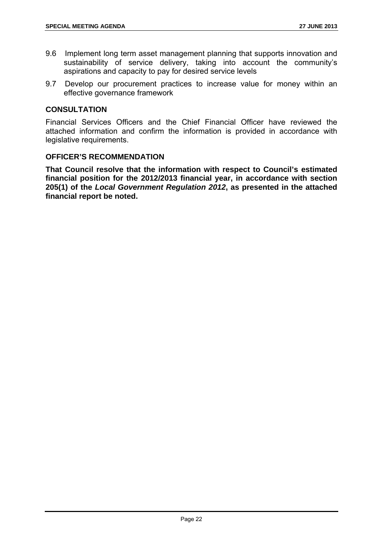- 9.6 Implement long term asset management planning that supports innovation and sustainability of service delivery, taking into account the community's aspirations and capacity to pay for desired service levels
- 9.7 Develop our procurement practices to increase value for money within an effective governance framework

#### **CONSULTATION**

Financial Services Officers and the Chief Financial Officer have reviewed the attached information and confirm the information is provided in accordance with legislative requirements.

# **OFFICER'S RECOMMENDATION**

**That Council resolve that the information with respect to Council's estimated financial position for the 2012/2013 financial year, in accordance with section 205(1) of the** *Local Government Regulation 2012***, as presented in the attached financial report be noted.**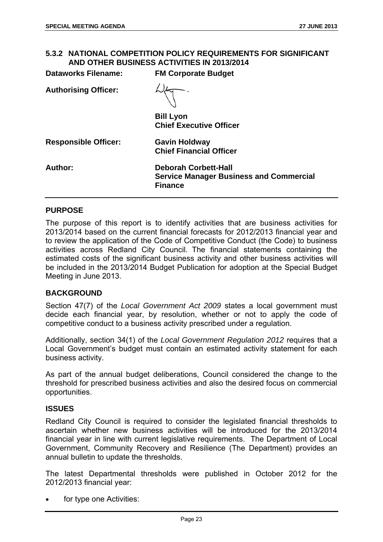# **5.3.2 NATIONAL COMPETITION POLICY REQUIREMENTS FOR SIGNIFICANT AND OTHER BUSINESS ACTIVITIES IN 2013/2014**

**Dataworks Filename: FM Corporate Budget** 

| Dataworks Filename:         | <b>FM Corporate Budget</b>                                                                      |
|-----------------------------|-------------------------------------------------------------------------------------------------|
| <b>Authorising Officer:</b> |                                                                                                 |
|                             | <b>Bill Lyon</b><br><b>Chief Executive Officer</b>                                              |
| <b>Responsible Officer:</b> | <b>Gavin Holdway</b><br><b>Chief Financial Officer</b>                                          |
| <b>Author:</b>              | <b>Deborah Corbett-Hall</b><br><b>Service Manager Business and Commercial</b><br><b>Finance</b> |

# **PURPOSE**

The purpose of this report is to identify activities that are business activities for 2013/2014 based on the current financial forecasts for 2012/2013 financial year and to review the application of the Code of Competitive Conduct (the Code) to business activities across Redland City Council. The financial statements containing the estimated costs of the significant business activity and other business activities will be included in the 2013/2014 Budget Publication for adoption at the Special Budget Meeting in June 2013.

#### **BACKGROUND**

Section 47(7) of the *Local Government Act 2009* states a local government must decide each financial year, by resolution, whether or not to apply the code of competitive conduct to a business activity prescribed under a regulation.

Additionally, section 34(1) of the *Local Government Regulation 2012* requires that a Local Government's budget must contain an estimated activity statement for each business activity.

As part of the annual budget deliberations, Council considered the change to the threshold for prescribed business activities and also the desired focus on commercial opportunities.

#### **ISSUES**

Redland City Council is required to consider the legislated financial thresholds to ascertain whether new business activities will be introduced for the 2013/2014 financial year in line with current legislative requirements. The Department of Local Government, Community Recovery and Resilience (The Department) provides an annual bulletin to update the thresholds.

The latest Departmental thresholds were published in October 2012 for the 2012/2013 financial year:

for type one Activities: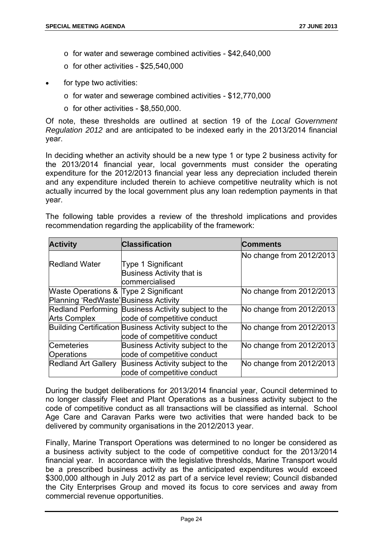- o for water and sewerage combined activities \$42,640,000
- $\circ$  for other activities \$25,540,000
- for type two activities:
	- o for water and sewerage combined activities \$12,770,000
	- $\circ$  for other activities \$8,550,000.

Of note, these thresholds are outlined at section 19 of the *Local Government Regulation 2012* and are anticipated to be indexed early in the 2013/2014 financial year.

In deciding whether an activity should be a new type 1 or type 2 business activity for the 2013/2014 financial year, local governments must consider the operating expenditure for the 2012/2013 financial year less any depreciation included therein and any expenditure included therein to achieve competitive neutrality which is not actually incurred by the local government plus any loan redemption payments in that year.

The following table provides a review of the threshold implications and provides recommendation regarding the applicability of the framework:

| <b>Activity</b>                       | <b>Classification</b>                                   | Comments                 |
|---------------------------------------|---------------------------------------------------------|--------------------------|
|                                       |                                                         | No change from 2012/2013 |
| <b>Redland Water</b>                  | <b>Type 1 Significant</b>                               |                          |
|                                       | Business Activity that is                               |                          |
|                                       | commercialised                                          |                          |
| Waste Operations & Type 2 Significant |                                                         | No change from 2012/2013 |
| Planning 'RedWaste' Business Activity |                                                         |                          |
|                                       | Redland Performing Business Activity subject to the     | No change from 2012/2013 |
| <b>Arts Complex</b>                   | code of competitive conduct                             |                          |
|                                       | Building Certification Business Activity subject to the | No change from 2012/2013 |
|                                       | code of competitive conduct                             |                          |
| Cemeteries                            | Business Activity subject to the                        | No change from 2012/2013 |
| <b>Operations</b>                     | code of competitive conduct                             |                          |
| <b>Redland Art Gallery</b>            | Business Activity subject to the                        | No change from 2012/2013 |
|                                       | code of competitive conduct                             |                          |

During the budget deliberations for 2013/2014 financial year, Council determined to no longer classify Fleet and Plant Operations as a business activity subject to the code of competitive conduct as all transactions will be classified as internal. School Age Care and Caravan Parks were two activities that were handed back to be delivered by community organisations in the 2012/2013 year.

Finally, Marine Transport Operations was determined to no longer be considered as a business activity subject to the code of competitive conduct for the 2013/2014 financial year. In accordance with the legislative thresholds, Marine Transport would be a prescribed business activity as the anticipated expenditures would exceed \$300,000 although in July 2012 as part of a service level review; Council disbanded the City Enterprises Group and moved its focus to core services and away from commercial revenue opportunities.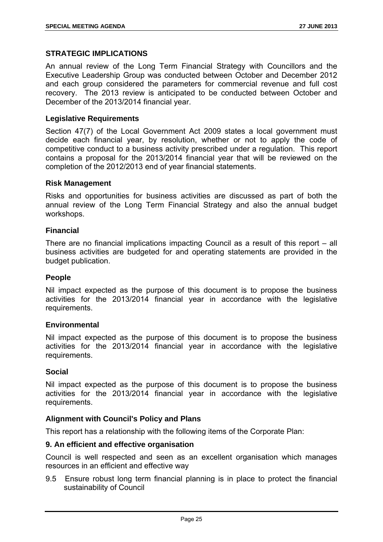# **STRATEGIC IMPLICATIONS**

An annual review of the Long Term Financial Strategy with Councillors and the Executive Leadership Group was conducted between October and December 2012 and each group considered the parameters for commercial revenue and full cost recovery. The 2013 review is anticipated to be conducted between October and December of the 2013/2014 financial year.

#### **Legislative Requirements**

Section 47(7) of the Local Government Act 2009 states a local government must decide each financial year, by resolution, whether or not to apply the code of competitive conduct to a business activity prescribed under a regulation. This report contains a proposal for the 2013/2014 financial year that will be reviewed on the completion of the 2012/2013 end of year financial statements.

#### **Risk Management**

Risks and opportunities for business activities are discussed as part of both the annual review of the Long Term Financial Strategy and also the annual budget workshops.

#### **Financial**

There are no financial implications impacting Council as a result of this report – all business activities are budgeted for and operating statements are provided in the budget publication.

#### **People**

Nil impact expected as the purpose of this document is to propose the business activities for the 2013/2014 financial year in accordance with the legislative requirements.

#### **Environmental**

Nil impact expected as the purpose of this document is to propose the business activities for the 2013/2014 financial year in accordance with the legislative requirements.

#### **Social**

Nil impact expected as the purpose of this document is to propose the business activities for the 2013/2014 financial year in accordance with the legislative requirements.

#### **Alignment with Council's Policy and Plans**

This report has a relationship with the following items of the Corporate Plan:

#### **9. An efficient and effective organisation**

Council is well respected and seen as an excellent organisation which manages resources in an efficient and effective way

9.5 Ensure robust long term financial planning is in place to protect the financial sustainability of Council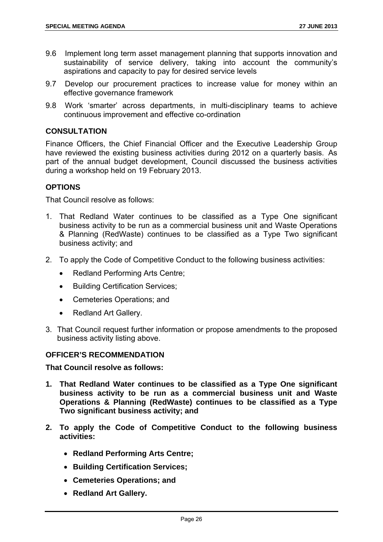- 9.6 Implement long term asset management planning that supports innovation and sustainability of service delivery, taking into account the community's aspirations and capacity to pay for desired service levels
- 9.7 Develop our procurement practices to increase value for money within an effective governance framework
- 9.8 Work 'smarter' across departments, in multi-disciplinary teams to achieve continuous improvement and effective co-ordination

# **CONSULTATION**

Finance Officers, the Chief Financial Officer and the Executive Leadership Group have reviewed the existing business activities during 2012 on a quarterly basis. As part of the annual budget development, Council discussed the business activities during a workshop held on 19 February 2013.

# **OPTIONS**

That Council resolve as follows:

- 1. That Redland Water continues to be classified as a Type One significant business activity to be run as a commercial business unit and Waste Operations & Planning (RedWaste) continues to be classified as a Type Two significant business activity; and
- 2. To apply the Code of Competitive Conduct to the following business activities:
	- Redland Performing Arts Centre;
	- Building Certification Services;
	- Cemeteries Operations: and
	- Redland Art Gallery.
- 3. That Council request further information or propose amendments to the proposed business activity listing above.

# **OFFICER'S RECOMMENDATION**

**That Council resolve as follows:** 

- **1. That Redland Water continues to be classified as a Type One significant business activity to be run as a commercial business unit and Waste Operations & Planning (RedWaste) continues to be classified as a Type Two significant business activity; and**
- **2. To apply the Code of Competitive Conduct to the following business activities:** 
	- **Redland Performing Arts Centre;**
	- **Building Certification Services;**
	- **Cemeteries Operations; and**
	- **Redland Art Gallery.**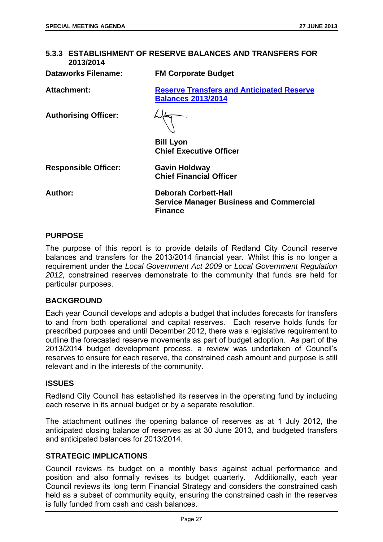| 5.3.3 ESTABLISHMENT OF RESERVE BALANCES AND TRANSFERS FOR<br>2013/2014 |                                                                                                 |  |
|------------------------------------------------------------------------|-------------------------------------------------------------------------------------------------|--|
| <b>Dataworks Filename:</b>                                             | <b>FM Corporate Budget</b>                                                                      |  |
| <b>Attachment:</b>                                                     | <b>Reserve Transfers and Anticipated Reserve</b><br><b>Balances 2013/2014</b>                   |  |
| <b>Authorising Officer:</b>                                            |                                                                                                 |  |
|                                                                        | <b>Bill Lyon</b><br><b>Chief Executive Officer</b>                                              |  |
| <b>Responsible Officer:</b>                                            | <b>Gavin Holdway</b><br><b>Chief Financial Officer</b>                                          |  |
| Author:                                                                | <b>Deborah Corbett-Hall</b><br><b>Service Manager Business and Commercial</b><br><b>Finance</b> |  |

# **PURPOSE**

The purpose of this report is to provide details of Redland City Council reserve balances and transfers for the 2013/2014 financial year. Whilst this is no longer a requirement under the *Local Government Act 2009* or *Local Government Regulation 2012,* constrained reserves demonstrate to the community that funds are held for particular purposes.

#### **BACKGROUND**

Each year Council develops and adopts a budget that includes forecasts for transfers to and from both operational and capital reserves. Each reserve holds funds for prescribed purposes and until December 2012, there was a legislative requirement to outline the forecasted reserve movements as part of budget adoption. As part of the 2013/2014 budget development process, a review was undertaken of Council's reserves to ensure for each reserve, the constrained cash amount and purpose is still relevant and in the interests of the community.

#### **ISSUES**

Redland City Council has established its reserves in the operating fund by including each reserve in its annual budget or by a separate resolution.

The attachment outlines the opening balance of reserves as at 1 July 2012, the anticipated closing balance of reserves as at 30 June 2013, and budgeted transfers and anticipated balances for 2013/2014.

# **STRATEGIC IMPLICATIONS**

Council reviews its budget on a monthly basis against actual performance and position and also formally revises its budget quarterly. Additionally, each year Council reviews its long term Financial Strategy and considers the constrained cash held as a subset of community equity, ensuring the constrained cash in the reserves is fully funded from cash and cash balances.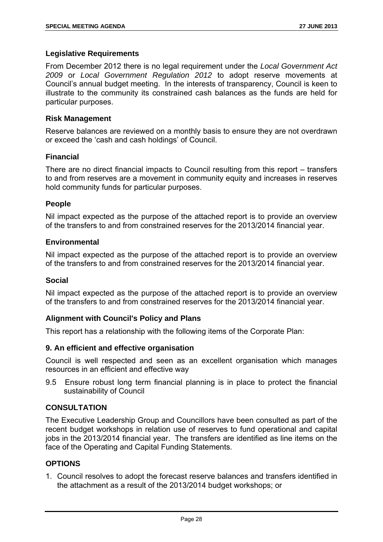# **Legislative Requirements**

From December 2012 there is no legal requirement under the *Local Government Act 2009* or *Local Government Regulation 2012* to adopt reserve movements at Council's annual budget meeting. In the interests of transparency, Council is keen to illustrate to the community its constrained cash balances as the funds are held for particular purposes.

#### **Risk Management**

Reserve balances are reviewed on a monthly basis to ensure they are not overdrawn or exceed the 'cash and cash holdings' of Council.

# **Financial**

There are no direct financial impacts to Council resulting from this report – transfers to and from reserves are a movement in community equity and increases in reserves hold community funds for particular purposes.

#### **People**

Nil impact expected as the purpose of the attached report is to provide an overview of the transfers to and from constrained reserves for the 2013/2014 financial year.

# **Environmental**

Nil impact expected as the purpose of the attached report is to provide an overview of the transfers to and from constrained reserves for the 2013/2014 financial year.

#### **Social**

Nil impact expected as the purpose of the attached report is to provide an overview of the transfers to and from constrained reserves for the 2013/2014 financial year.

# **Alignment with Council's Policy and Plans**

This report has a relationship with the following items of the Corporate Plan:

#### **9. An efficient and effective organisation**

Council is well respected and seen as an excellent organisation which manages resources in an efficient and effective way

9.5 Ensure robust long term financial planning is in place to protect the financial sustainability of Council

# **CONSULTATION**

The Executive Leadership Group and Councillors have been consulted as part of the recent budget workshops in relation use of reserves to fund operational and capital jobs in the 2013/2014 financial year. The transfers are identified as line items on the face of the Operating and Capital Funding Statements.

# **OPTIONS**

1. Council resolves to adopt the forecast reserve balances and transfers identified in the attachment as a result of the 2013/2014 budget workshops; or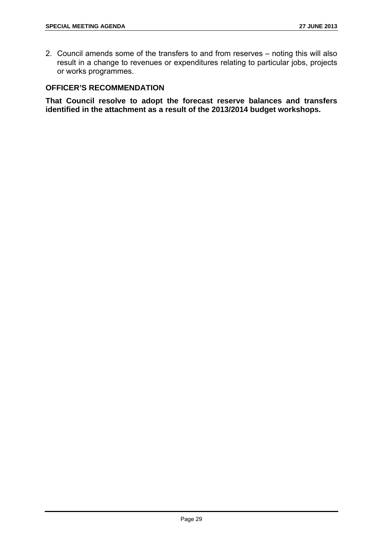2. Council amends some of the transfers to and from reserves – noting this will also result in a change to revenues or expenditures relating to particular jobs, projects or works programmes.

# **OFFICER'S RECOMMENDATION**

**That Council resolve to adopt the forecast reserve balances and transfers identified in the attachment as a result of the 2013/2014 budget workshops.**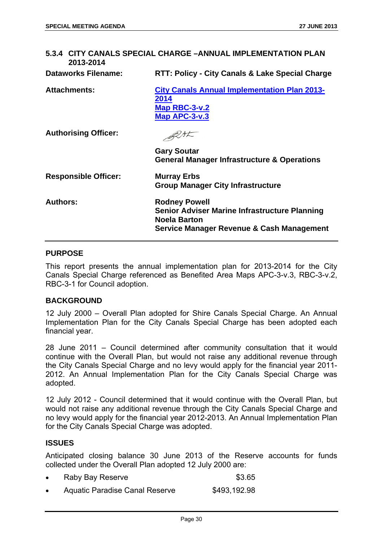# **5.3.4 CITY CANALS SPECIAL CHARGE –ANNUAL IMPLEMENTATION PLAN 2013-2014 Dataworks Filename: RTT: Policy - City Canals & Lake Special Charge Attachments: City Canals Annual Implementation Plan 2013- 2014 Map RBC-3-v.2 Map APC-3-v.3** BUSK **Authorising Officer: Gary Soutar General Manager Infrastructure & Operations Responsible Officer: Murray Erbs Group Manager City Infrastructure Authors: Rodney Powell Senior Adviser Marine Infrastructure Planning Noela Barton Service Manager Revenue & Cash Management**

#### **PURPOSE**

This report presents the annual implementation plan for 2013-2014 for the City Canals Special Charge referenced as Benefited Area Maps APC-3-v.3, RBC-3-v.2, RBC-3-1 for Council adoption.

#### **BACKGROUND**

12 July 2000 – Overall Plan adopted for Shire Canals Special Charge. An Annual Implementation Plan for the City Canals Special Charge has been adopted each financial year.

28 June 2011 – Council determined after community consultation that it would continue with the Overall Plan, but would not raise any additional revenue through the City Canals Special Charge and no levy would apply for the financial year 2011- 2012. An Annual Implementation Plan for the City Canals Special Charge was adopted.

12 July 2012 - Council determined that it would continue with the Overall Plan, but would not raise any additional revenue through the City Canals Special Charge and no levy would apply for the financial year 2012-2013. An Annual Implementation Plan for the City Canals Special Charge was adopted.

#### **ISSUES**

Anticipated closing balance 30 June 2013 of the Reserve accounts for funds collected under the Overall Plan adopted 12 July 2000 are:

| Raby Bay Reserve                      | \$3.65       |
|---------------------------------------|--------------|
| <b>Aquatic Paradise Canal Reserve</b> | \$493,192.98 |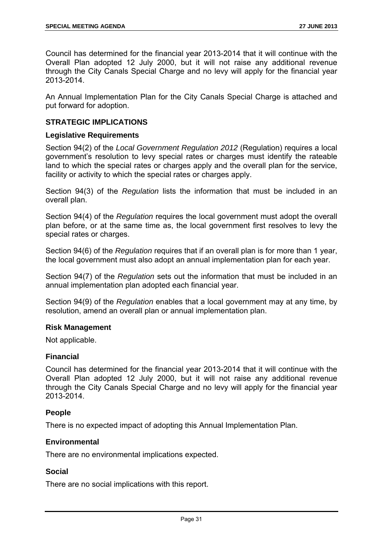Council has determined for the financial year 2013-2014 that it will continue with the Overall Plan adopted 12 July 2000, but it will not raise any additional revenue through the City Canals Special Charge and no levy will apply for the financial year 2013-2014.

An Annual Implementation Plan for the City Canals Special Charge is attached and put forward for adoption.

# **STRATEGIC IMPLICATIONS**

#### **Legislative Requirements**

Section 94(2) of the *Local Government Regulation 2012* (Regulation) requires a local government's resolution to levy special rates or charges must identify the rateable land to which the special rates or charges apply and the overall plan for the service, facility or activity to which the special rates or charges apply.

Section 94(3) of the *Regulation* lists the information that must be included in an overall plan.

Section 94(4) of the *Regulation* requires the local government must adopt the overall plan before, or at the same time as, the local government first resolves to levy the special rates or charges.

Section 94(6) of the *Regulation* requires that if an overall plan is for more than 1 year, the local government must also adopt an annual implementation plan for each year.

Section 94(7) of the *Regulation* sets out the information that must be included in an annual implementation plan adopted each financial year.

Section 94(9) of the *Regulation* enables that a local government may at any time, by resolution, amend an overall plan or annual implementation plan.

#### **Risk Management**

Not applicable.

#### **Financial**

Council has determined for the financial year 2013-2014 that it will continue with the Overall Plan adopted 12 July 2000, but it will not raise any additional revenue through the City Canals Special Charge and no levy will apply for the financial year 2013-2014.

#### **People**

There is no expected impact of adopting this Annual Implementation Plan.

#### **Environmental**

There are no environmental implications expected.

#### **Social**

There are no social implications with this report.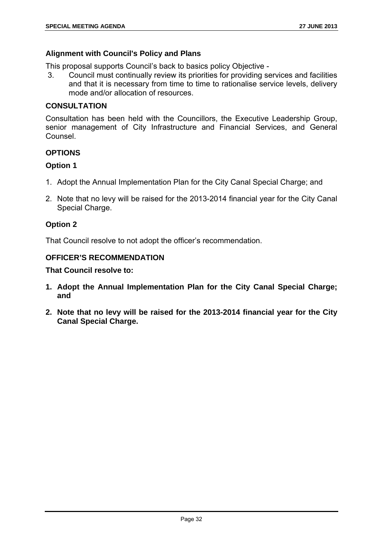# **Alignment with Council's Policy and Plans**

This proposal supports Council's back to basics policy Objective -

 3. Council must continually review its priorities for providing services and facilities and that it is necessary from time to time to rationalise service levels, delivery mode and/or allocation of resources.

# **CONSULTATION**

Consultation has been held with the Councillors, the Executive Leadership Group, senior management of City Infrastructure and Financial Services, and General Counsel.

# **OPTIONS**

# **Option 1**

- 1. Adopt the Annual Implementation Plan for the City Canal Special Charge; and
- 2. Note that no levy will be raised for the 2013-2014 financial year for the City Canal Special Charge.

# **Option 2**

That Council resolve to not adopt the officer's recommendation.

# **OFFICER'S RECOMMENDATION**

# **That Council resolve to:**

- **1. Adopt the Annual Implementation Plan for the City Canal Special Charge; and**
- **2. Note that no levy will be raised for the 2013-2014 financial year for the City Canal Special Charge.**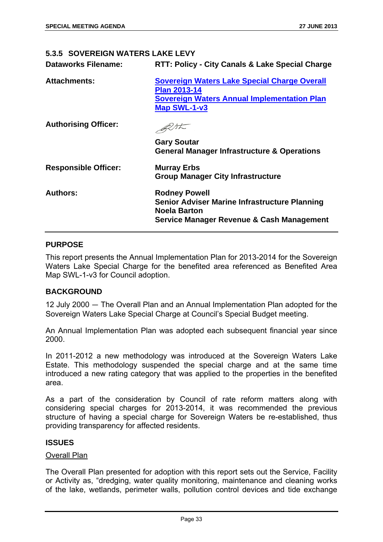#### **5.3.5 SOVEREIGN WATERS LAKE LEVY**

**Dataworks Filename: RTT: Policy - City Canals & Lake Special Charge** 

| <b>Attachments:</b>         | Sovereign Waters Lake Special Charge Overall<br><b>Plan 2013-14</b><br><b>Sovereign Waters Annual Implementation Plan</b><br><b>Map SWL-1-v3</b>            |
|-----------------------------|-------------------------------------------------------------------------------------------------------------------------------------------------------------|
| <b>Authorising Officer:</b> |                                                                                                                                                             |
|                             | <b>Gary Soutar</b><br><b>General Manager Infrastructure &amp; Operations</b>                                                                                |
| <b>Responsible Officer:</b> | <b>Murray Erbs</b><br><b>Group Manager City Infrastructure</b>                                                                                              |
| <b>Authors:</b>             | <b>Rodney Powell</b><br><b>Senior Adviser Marine Infrastructure Planning</b><br><b>Noela Barton</b><br><b>Service Manager Revenue &amp; Cash Management</b> |

# **PURPOSE**

This report presents the Annual Implementation Plan for 2013-2014 for the Sovereign Waters Lake Special Charge for the benefited area referenced as Benefited Area Map SWL-1-v3 for Council adoption.

#### **BACKGROUND**

12 July 2000 ― The Overall Plan and an Annual Implementation Plan adopted for the Sovereign Waters Lake Special Charge at Council's Special Budget meeting.

An Annual Implementation Plan was adopted each subsequent financial year since 2000.

In 2011-2012 a new methodology was introduced at the Sovereign Waters Lake Estate. This methodology suspended the special charge and at the same time introduced a new rating category that was applied to the properties in the benefited area.

As a part of the consideration by Council of rate reform matters along with considering special charges for 2013-2014, it was recommended the previous structure of having a special charge for Sovereign Waters be re-established, thus providing transparency for affected residents.

# **ISSUES**

#### Overall Plan

The Overall Plan presented for adoption with this report sets out the Service, Facility or Activity as, "dredging, water quality monitoring, maintenance and cleaning works of the lake, wetlands, perimeter walls, pollution control devices and tide exchange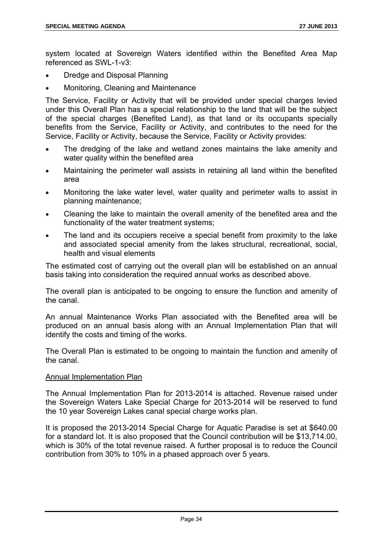system located at Sovereign Waters identified within the Benefited Area Map referenced as SWL-1-v3:

- Dredge and Disposal Planning
- Monitoring, Cleaning and Maintenance

The Service, Facility or Activity that will be provided under special charges levied under this Overall Plan has a special relationship to the land that will be the subject of the special charges (Benefited Land), as that land or its occupants specially benefits from the Service, Facility or Activity, and contributes to the need for the Service, Facility or Activity, because the Service, Facility or Activity provides:

- The dredging of the lake and wetland zones maintains the lake amenity and water quality within the benefited area
- Maintaining the perimeter wall assists in retaining all land within the benefited area
- Monitoring the lake water level, water quality and perimeter walls to assist in planning maintenance;
- Cleaning the lake to maintain the overall amenity of the benefited area and the functionality of the water treatment systems;
- The land and its occupiers receive a special benefit from proximity to the lake and associated special amenity from the lakes structural, recreational, social, health and visual elements

The estimated cost of carrying out the overall plan will be established on an annual basis taking into consideration the required annual works as described above.

The overall plan is anticipated to be ongoing to ensure the function and amenity of the canal.

An annual Maintenance Works Plan associated with the Benefited area will be produced on an annual basis along with an Annual Implementation Plan that will identify the costs and timing of the works.

The Overall Plan is estimated to be ongoing to maintain the function and amenity of the canal.

#### Annual Implementation Plan

The Annual Implementation Plan for 2013-2014 is attached. Revenue raised under the Sovereign Waters Lake Special Charge for 2013-2014 will be reserved to fund the 10 year Sovereign Lakes canal special charge works plan.

It is proposed the 2013-2014 Special Charge for Aquatic Paradise is set at \$640.00 for a standard lot. It is also proposed that the Council contribution will be \$13,714.00, which is 30% of the total revenue raised. A further proposal is to reduce the Council contribution from 30% to 10% in a phased approach over 5 years.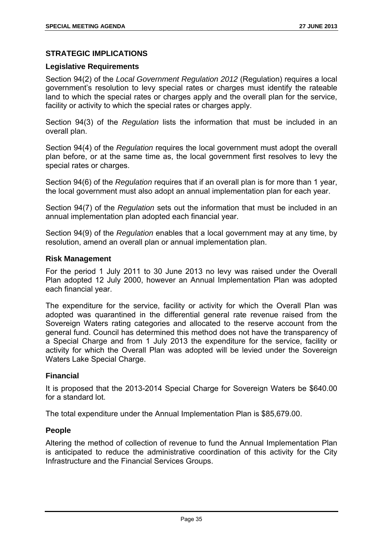# **STRATEGIC IMPLICATIONS**

# **Legislative Requirements**

Section 94(2) of the *Local Government Regulation 2012* (Regulation) requires a local government's resolution to levy special rates or charges must identify the rateable land to which the special rates or charges apply and the overall plan for the service, facility or activity to which the special rates or charges apply.

Section 94(3) of the *Regulation* lists the information that must be included in an overall plan.

Section 94(4) of the *Regulation* requires the local government must adopt the overall plan before, or at the same time as, the local government first resolves to levy the special rates or charges.

Section 94(6) of the *Regulation* requires that if an overall plan is for more than 1 year, the local government must also adopt an annual implementation plan for each year.

Section 94(7) of the *Regulation* sets out the information that must be included in an annual implementation plan adopted each financial year.

Section 94(9) of the *Regulation* enables that a local government may at any time, by resolution, amend an overall plan or annual implementation plan.

#### **Risk Management**

For the period 1 July 2011 to 30 June 2013 no levy was raised under the Overall Plan adopted 12 July 2000, however an Annual Implementation Plan was adopted each financial year.

The expenditure for the service, facility or activity for which the Overall Plan was adopted was quarantined in the differential general rate revenue raised from the Sovereign Waters rating categories and allocated to the reserve account from the general fund. Council has determined this method does not have the transparency of a Special Charge and from 1 July 2013 the expenditure for the service, facility or activity for which the Overall Plan was adopted will be levied under the Sovereign Waters Lake Special Charge.

# **Financial**

It is proposed that the 2013-2014 Special Charge for Sovereign Waters be \$640.00 for a standard lot.

The total expenditure under the Annual Implementation Plan is \$85,679.00.

#### **People**

Altering the method of collection of revenue to fund the Annual Implementation Plan is anticipated to reduce the administrative coordination of this activity for the City Infrastructure and the Financial Services Groups.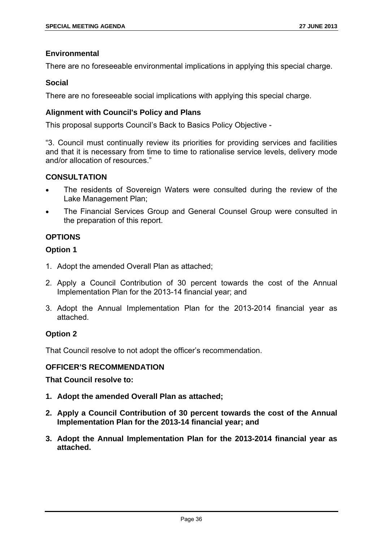# **Environmental**

There are no foreseeable environmental implications in applying this special charge.

#### **Social**

There are no foreseeable social implications with applying this special charge.

# **Alignment with Council's Policy and Plans**

This proposal supports Council's Back to Basics Policy Objective -

"3. Council must continually review its priorities for providing services and facilities and that it is necessary from time to time to rationalise service levels, delivery mode and/or allocation of resources."

# **CONSULTATION**

- The residents of Sovereign Waters were consulted during the review of the Lake Management Plan;
- The Financial Services Group and General Counsel Group were consulted in the preparation of this report.

# **OPTIONS**

# **Option 1**

- 1. Adopt the amended Overall Plan as attached;
- 2. Apply a Council Contribution of 30 percent towards the cost of the Annual Implementation Plan for the 2013-14 financial year; and
- 3. Adopt the Annual Implementation Plan for the 2013-2014 financial year as attached.

# **Option 2**

That Council resolve to not adopt the officer's recommendation.

#### **OFFICER'S RECOMMENDATION**

- **1. Adopt the amended Overall Plan as attached;**
- **2. Apply a Council Contribution of 30 percent towards the cost of the Annual Implementation Plan for the 2013-14 financial year; and**
- **3. Adopt the Annual Implementation Plan for the 2013-2014 financial year as attached.**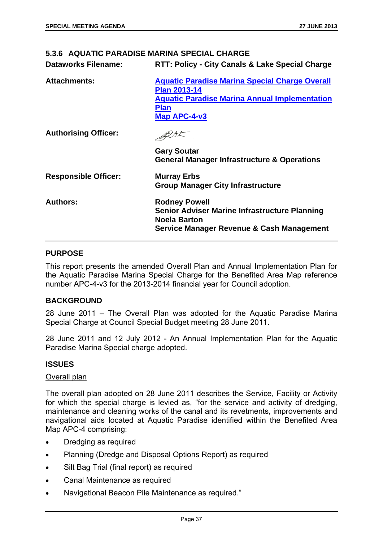# **5.3.6 AQUATIC PARADISE MARINA SPECIAL CHARGE**

**Dataworks Filename: RTT: Policy - City Canals & Lake Special Charge** 

| <b>Attachments:</b>         | <b>Aquatic Paradise Marina Special Charge Overall</b><br><b>Plan 2013-14</b><br><b>Aquatic Paradise Marina Annual Implementation</b><br><b>Plan</b><br>Map APC-4-v3 |
|-----------------------------|---------------------------------------------------------------------------------------------------------------------------------------------------------------------|
| <b>Authorising Officer:</b> |                                                                                                                                                                     |
|                             | <b>Gary Soutar</b><br><b>General Manager Infrastructure &amp; Operations</b>                                                                                        |
| <b>Responsible Officer:</b> | <b>Murray Erbs</b><br><b>Group Manager City Infrastructure</b>                                                                                                      |
| <b>Authors:</b>             | <b>Rodney Powell</b><br><b>Senior Adviser Marine Infrastructure Planning</b><br><b>Noela Barton</b><br>Service Manager Revenue & Cash Management                    |

#### **PURPOSE**

This report presents the amended Overall Plan and Annual Implementation Plan for the Aquatic Paradise Marina Special Charge for the Benefited Area Map reference number APC-4-v3 for the 2013-2014 financial year for Council adoption.

#### **BACKGROUND**

28 June 2011 – The Overall Plan was adopted for the Aquatic Paradise Marina Special Charge at Council Special Budget meeting 28 June 2011.

28 June 2011 and 12 July 2012 - An Annual Implementation Plan for the Aquatic Paradise Marina Special charge adopted.

#### **ISSUES**

#### Overall plan

The overall plan adopted on 28 June 2011 describes the Service, Facility or Activity for which the special charge is levied as, "for the service and activity of dredging, maintenance and cleaning works of the canal and its revetments, improvements and navigational aids located at Aquatic Paradise identified within the Benefited Area Map APC-4 comprising:

- Dredging as required
- Planning (Dredge and Disposal Options Report) as required
- Silt Bag Trial (final report) as required
- Canal Maintenance as required
- Navigational Beacon Pile Maintenance as required."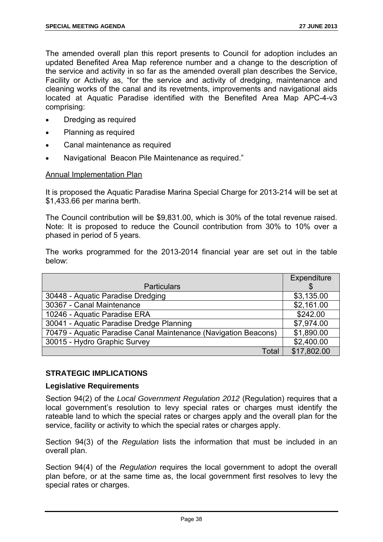The amended overall plan this report presents to Council for adoption includes an updated Benefited Area Map reference number and a change to the description of the service and activity in so far as the amended overall plan describes the Service, Facility or Activity as, "for the service and activity of dredging, maintenance and cleaning works of the canal and its revetments, improvements and navigational aids located at Aquatic Paradise identified with the Benefited Area Map APC-4-v3 comprising:

- Dredging as required
- Planning as required
- Canal maintenance as required
- Navigational Beacon Pile Maintenance as required."

#### Annual Implementation Plan

It is proposed the Aquatic Paradise Marina Special Charge for 2013-214 will be set at \$1,433.66 per marina berth.

The Council contribution will be \$9,831.00, which is 30% of the total revenue raised. Note: It is proposed to reduce the Council contribution from 30% to 10% over a phased in period of 5 years.

The works programmed for the 2013-2014 financial year are set out in the table below:

|                                                                 | Expenditure |
|-----------------------------------------------------------------|-------------|
| <b>Particulars</b>                                              |             |
| 30448 - Aquatic Paradise Dredging                               | \$3,135.00  |
| 30367 - Canal Maintenance                                       | \$2,161.00  |
| 10246 - Aquatic Paradise ERA                                    | \$242.00    |
| 30041 - Aquatic Paradise Dredge Planning                        | \$7,974.00  |
| 70479 - Aquatic Paradise Canal Maintenance (Navigation Beacons) | \$1,890.00  |
| 30015 - Hydro Graphic Survey                                    | \$2,400.00  |
| Total                                                           | \$17,802.00 |

# **STRATEGIC IMPLICATIONS**

#### **Legislative Requirements**

Section 94(2) of the *Local Government Regulation 2012* (Regulation) requires that a local government's resolution to levy special rates or charges must identify the rateable land to which the special rates or charges apply and the overall plan for the service, facility or activity to which the special rates or charges apply.

Section 94(3) of the *Regulation* lists the information that must be included in an overall plan.

Section 94(4) of the *Regulation* requires the local government to adopt the overall plan before, or at the same time as, the local government first resolves to levy the special rates or charges.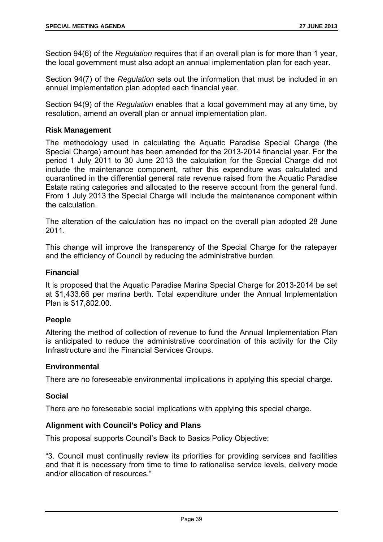Section 94(6) of the *Regulation* requires that if an overall plan is for more than 1 year, the local government must also adopt an annual implementation plan for each year.

Section 94(7) of the *Regulation* sets out the information that must be included in an annual implementation plan adopted each financial year.

Section 94(9) of the *Regulation* enables that a local government may at any time, by resolution, amend an overall plan or annual implementation plan.

# **Risk Management**

The methodology used in calculating the Aquatic Paradise Special Charge (the Special Charge) amount has been amended for the 2013-2014 financial year. For the period 1 July 2011 to 30 June 2013 the calculation for the Special Charge did not include the maintenance component, rather this expenditure was calculated and quarantined in the differential general rate revenue raised from the Aquatic Paradise Estate rating categories and allocated to the reserve account from the general fund. From 1 July 2013 the Special Charge will include the maintenance component within the calculation.

The alteration of the calculation has no impact on the overall plan adopted 28 June 2011.

This change will improve the transparency of the Special Charge for the ratepayer and the efficiency of Council by reducing the administrative burden.

#### **Financial**

It is proposed that the Aquatic Paradise Marina Special Charge for 2013-2014 be set at \$1,433.66 per marina berth. Total expenditure under the Annual Implementation Plan is \$17,802.00.

# **People**

Altering the method of collection of revenue to fund the Annual Implementation Plan is anticipated to reduce the administrative coordination of this activity for the City Infrastructure and the Financial Services Groups.

# **Environmental**

There are no foreseeable environmental implications in applying this special charge.

#### **Social**

There are no foreseeable social implications with applying this special charge.

#### **Alignment with Council's Policy and Plans**

This proposal supports Council's Back to Basics Policy Objective:

"3. Council must continually review its priorities for providing services and facilities and that it is necessary from time to time to rationalise service levels, delivery mode and/or allocation of resources."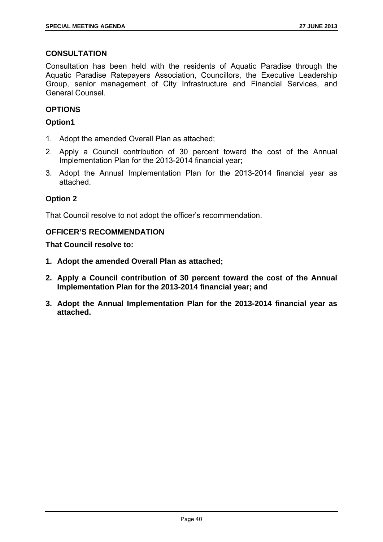# **CONSULTATION**

Consultation has been held with the residents of Aquatic Paradise through the Aquatic Paradise Ratepayers Association, Councillors, the Executive Leadership Group, senior management of City Infrastructure and Financial Services, and General Counsel.

# **OPTIONS**

# **Option1**

- 1. Adopt the amended Overall Plan as attached;
- 2. Apply a Council contribution of 30 percent toward the cost of the Annual Implementation Plan for the 2013-2014 financial year;
- 3. Adopt the Annual Implementation Plan for the 2013-2014 financial year as attached.

# **Option 2**

That Council resolve to not adopt the officer's recommendation.

#### **OFFICER'S RECOMMENDATION**

- **1. Adopt the amended Overall Plan as attached;**
- **2. Apply a Council contribution of 30 percent toward the cost of the Annual Implementation Plan for the 2013-2014 financial year; and**
- **3. Adopt the Annual Implementation Plan for the 2013-2014 financial year as attached.**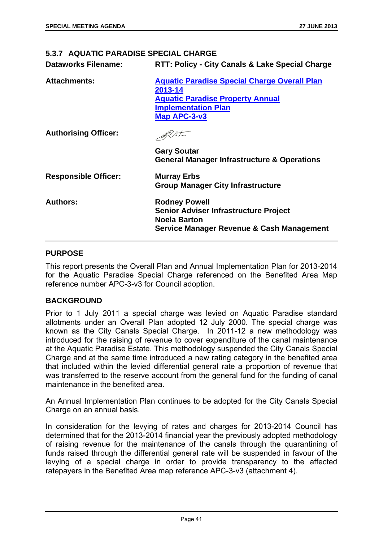#### **5.3.7 AQUATIC PARADISE SPECIAL CHARGE**

**Dataworks Filename: RTT: Policy - City Canals & Lake Special Charge** 

| <b>Attachments:</b>         | <b>Aquatic Paradise Special Charge Overall Plan</b><br>2013-14<br><b>Aquatic Paradise Property Annual</b><br><b>Implementation Plan</b><br>Map APC-3-v3 |
|-----------------------------|---------------------------------------------------------------------------------------------------------------------------------------------------------|
| <b>Authorising Officer:</b> |                                                                                                                                                         |
|                             | <b>Gary Soutar</b><br><b>General Manager Infrastructure &amp; Operations</b>                                                                            |
| <b>Responsible Officer:</b> | <b>Murray Erbs</b><br><b>Group Manager City Infrastructure</b>                                                                                          |
| <b>Authors:</b>             | <b>Rodney Powell</b><br><b>Senior Adviser Infrastructure Project</b><br><b>Noela Barton</b><br>Service Manager Revenue & Cash Management                |

#### **PURPOSE**

This report presents the Overall Plan and Annual Implementation Plan for 2013-2014 for the Aquatic Paradise Special Charge referenced on the Benefited Area Map reference number APC-3-v3 for Council adoption.

#### **BACKGROUND**

Prior to 1 July 2011 a special charge was levied on Aquatic Paradise standard allotments under an Overall Plan adopted 12 July 2000. The special charge was known as the City Canals Special Charge. In 2011-12 a new methodology was introduced for the raising of revenue to cover expenditure of the canal maintenance at the Aquatic Paradise Estate. This methodology suspended the City Canals Special Charge and at the same time introduced a new rating category in the benefited area that included within the levied differential general rate a proportion of revenue that was transferred to the reserve account from the general fund for the funding of canal maintenance in the benefited area.

An Annual Implementation Plan continues to be adopted for the City Canals Special Charge on an annual basis.

In consideration for the levying of rates and charges for 2013-2014 Council has determined that for the 2013-2014 financial year the previously adopted methodology of raising revenue for the maintenance of the canals through the quarantining of funds raised through the differential general rate will be suspended in favour of the levying of a special charge in order to provide transparency to the affected ratepayers in the Benefited Area map reference APC-3-v3 (attachment 4).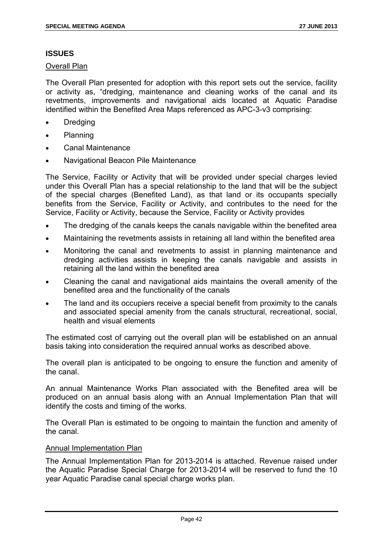# **ISSUES**

Overall Plan

The Overall Plan presented for adoption with this report sets out the service, facility or activity as, "dredging, maintenance and cleaning works of the canal and its revetments, improvements and navigational aids located at Aquatic Paradise identified within the Benefited Area Maps referenced as APC-3-v3 comprising:

- Dredging
- Planning
- Canal Maintenance
- Navigational Beacon Pile Maintenance

The Service, Facility or Activity that will be provided under special charges levied under this Overall Plan has a special relationship to the land that will be the subject of the special charges (Benefited Land), as that land or its occupants specially benefits from the Service, Facility or Activity, and contributes to the need for the Service, Facility or Activity, because the Service, Facility or Activity provides

- The dredging of the canals keeps the canals navigable within the benefited area
- Maintaining the revetments assists in retaining all land within the benefited area
- Monitoring the canal and revetments to assist in planning maintenance and dredging activities assists in keeping the canals navigable and assists in retaining all the land within the benefited area
- Cleaning the canal and navigational aids maintains the overall amenity of the benefited area and the functionality of the canals
- The land and its occupiers receive a special benefit from proximity to the canals and associated special amenity from the canals structural, recreational, social, health and visual elements

The estimated cost of carrying out the overall plan will be established on an annual basis taking into consideration the required annual works as described above.

The overall plan is anticipated to be ongoing to ensure the function and amenity of the canal.

An annual Maintenance Works Plan associated with the Benefited area will be produced on an annual basis along with an Annual Implementation Plan that will identify the costs and timing of the works.

The Overall Plan is estimated to be ongoing to maintain the function and amenity of the canal.

# Annual Implementation Plan

The Annual Implementation Plan for 2013-2014 is attached. Revenue raised under the Aquatic Paradise Special Charge for 2013-2014 will be reserved to fund the 10 year Aquatic Paradise canal special charge works plan.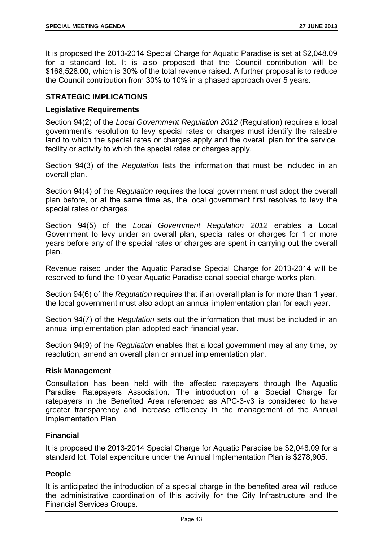It is proposed the 2013-2014 Special Charge for Aquatic Paradise is set at \$2,048.09 for a standard lot. It is also proposed that the Council contribution will be \$168,528.00, which is 30% of the total revenue raised. A further proposal is to reduce the Council contribution from 30% to 10% in a phased approach over 5 years.

# **STRATEGIC IMPLICATIONS**

# **Legislative Requirements**

Section 94(2) of the *Local Government Regulation 2012* (Regulation) requires a local government's resolution to levy special rates or charges must identify the rateable land to which the special rates or charges apply and the overall plan for the service, facility or activity to which the special rates or charges apply.

Section 94(3) of the *Regulation* lists the information that must be included in an overall plan.

Section 94(4) of the *Regulation* requires the local government must adopt the overall plan before, or at the same time as, the local government first resolves to levy the special rates or charges.

Section 94(5) of the *Local Government Regulation 2012* enables a Local Government to levy under an overall plan, special rates or charges for 1 or more years before any of the special rates or charges are spent in carrying out the overall plan.

Revenue raised under the Aquatic Paradise Special Charge for 2013-2014 will be reserved to fund the 10 year Aquatic Paradise canal special charge works plan.

Section 94(6) of the *Regulation* requires that if an overall plan is for more than 1 year, the local government must also adopt an annual implementation plan for each year.

Section 94(7) of the *Regulation* sets out the information that must be included in an annual implementation plan adopted each financial year.

Section 94(9) of the *Regulation* enables that a local government may at any time, by resolution, amend an overall plan or annual implementation plan.

#### **Risk Management**

Consultation has been held with the affected ratepayers through the Aquatic Paradise Ratepayers Association. The introduction of a Special Charge for ratepayers in the Benefited Area referenced as APC-3-v3 is considered to have greater transparency and increase efficiency in the management of the Annual Implementation Plan.

# **Financial**

It is proposed the 2013-2014 Special Charge for Aquatic Paradise be \$2,048.09 for a standard lot. Total expenditure under the Annual Implementation Plan is \$278,905.

#### **People**

It is anticipated the introduction of a special charge in the benefited area will reduce the administrative coordination of this activity for the City Infrastructure and the Financial Services Groups.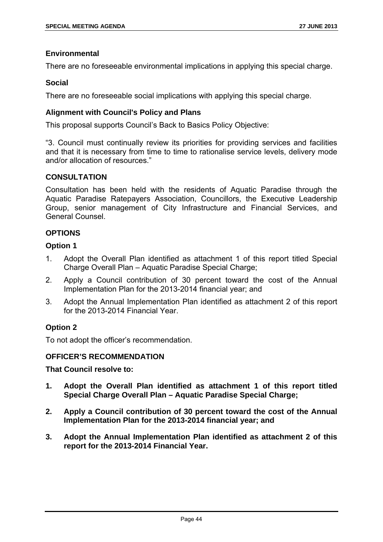# **Environmental**

There are no foreseeable environmental implications in applying this special charge.

#### **Social**

There are no foreseeable social implications with applying this special charge.

# **Alignment with Council's Policy and Plans**

This proposal supports Council's Back to Basics Policy Objective:

"3. Council must continually review its priorities for providing services and facilities and that it is necessary from time to time to rationalise service levels, delivery mode and/or allocation of resources."

# **CONSULTATION**

Consultation has been held with the residents of Aquatic Paradise through the Aquatic Paradise Ratepayers Association, Councillors, the Executive Leadership Group, senior management of City Infrastructure and Financial Services, and General Counsel.

# **OPTIONS**

# **Option 1**

- 1. Adopt the Overall Plan identified as attachment 1 of this report titled Special Charge Overall Plan – Aquatic Paradise Special Charge;
- 2. Apply a Council contribution of 30 percent toward the cost of the Annual Implementation Plan for the 2013-2014 financial year; and
- 3. Adopt the Annual Implementation Plan identified as attachment 2 of this report for the 2013-2014 Financial Year.

# **Option 2**

To not adopt the officer's recommendation.

#### **OFFICER'S RECOMMENDATION**

- **1. Adopt the Overall Plan identified as attachment 1 of this report titled Special Charge Overall Plan – Aquatic Paradise Special Charge;**
- **2. Apply a Council contribution of 30 percent toward the cost of the Annual Implementation Plan for the 2013-2014 financial year; and**
- **3. Adopt the Annual Implementation Plan identified as attachment 2 of this report for the 2013-2014 Financial Year.**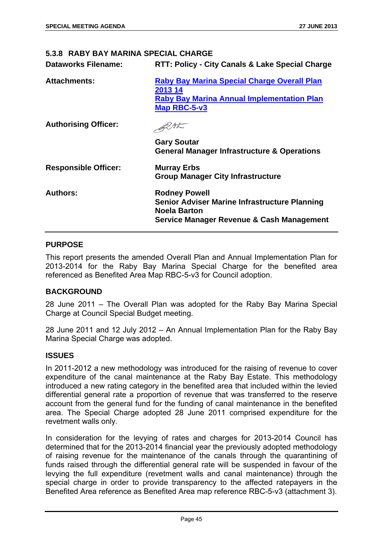#### **5.3.8 RABY BAY MARINA SPECIAL CHARGE**

| <b>Attachments:</b>         | <b>Raby Bay Marina Special Charge Overall Plan</b><br>2013 14<br><b>Raby Bay Marina Annual Implementation Plan</b><br>Map RBC-5-v3                   |
|-----------------------------|------------------------------------------------------------------------------------------------------------------------------------------------------|
| <b>Authorising Officer:</b> |                                                                                                                                                      |
|                             | <b>Gary Soutar</b><br><b>General Manager Infrastructure &amp; Operations</b>                                                                         |
| <b>Responsible Officer:</b> | <b>Murray Erbs</b><br><b>Group Manager City Infrastructure</b>                                                                                       |
| <b>Authors:</b>             | <b>Rodney Powell</b><br><b>Senior Adviser Marine Infrastructure Planning</b><br>Noela Barton<br><b>Service Manager Revenue &amp; Cash Management</b> |

#### **PURPOSE**

This report presents the amended Overall Plan and Annual Implementation Plan for 2013-2014 for the Raby Bay Marina Special Charge for the benefited area referenced as Benefited Area Map RBC-5-v3 for Council adoption.

#### **BACKGROUND**

28 June 2011 – The Overall Plan was adopted for the Raby Bay Marina Special Charge at Council Special Budget meeting.

28 June 2011 and 12 July 2012 – An Annual Implementation Plan for the Raby Bay Marina Special Charge was adopted.

#### **ISSUES**

In 2011-2012 a new methodology was introduced for the raising of revenue to cover expenditure of the canal maintenance at the Raby Bay Estate. This methodology introduced a new rating category in the benefited area that included within the levied differential general rate a proportion of revenue that was transferred to the reserve account from the general fund for the funding of canal maintenance in the benefited area. The Special Charge adopted 28 June 2011 comprised expenditure for the revetment walls only.

In consideration for the levying of rates and charges for 2013-2014 Council has determined that for the 2013-2014 financial year the previously adopted methodology of raising revenue for the maintenance of the canals through the quarantining of funds raised through the differential general rate will be suspended in favour of the levying the full expenditure (revetment walls and canal maintenance) through the special charge in order to provide transparency to the affected ratepayers in the Benefited Area reference as Benefited Area map reference RBC-5-v3 (attachment 3).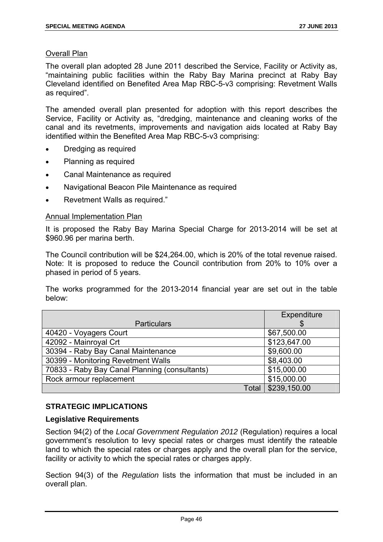# Overall Plan

The overall plan adopted 28 June 2011 described the Service, Facility or Activity as, "maintaining public facilities within the Raby Bay Marina precinct at Raby Bay Cleveland identified on Benefited Area Map RBC-5-v3 comprising: Revetment Walls as required".

The amended overall plan presented for adoption with this report describes the Service, Facility or Activity as, "dredging, maintenance and cleaning works of the canal and its revetments, improvements and navigation aids located at Raby Bay identified within the Benefited Area Map RBC-5-v3 comprising:

- Dredging as required
- Planning as required
- Canal Maintenance as required
- Navigational Beacon Pile Maintenance as required
- Revetment Walls as required."

# Annual Implementation Plan

It is proposed the Raby Bay Marina Special Charge for 2013-2014 will be set at \$960.96 per marina berth.

The Council contribution will be \$24,264.00, which is 20% of the total revenue raised. Note: It is proposed to reduce the Council contribution from 20% to 10% over a phased in period of 5 years.

The works programmed for the 2013-2014 financial year are set out in the table below:

|                                               | Expenditure  |
|-----------------------------------------------|--------------|
| <b>Particulars</b>                            |              |
| 40420 - Voyagers Court                        | \$67,500.00  |
| 42092 - Mainroyal Crt                         | \$123,647.00 |
| 30394 - Raby Bay Canal Maintenance            | \$9,600.00   |
| 30399 - Monitoring Revetment Walls            | \$8,403.00   |
| 70833 - Raby Bay Canal Planning (consultants) | \$15,000.00  |
| Rock armour replacement                       | \$15,000.00  |
| Total                                         | \$239,150.00 |

# **STRATEGIC IMPLICATIONS**

# **Legislative Requirements**

Section 94(2) of the *Local Government Regulation 2012* (Regulation) requires a local government's resolution to levy special rates or charges must identify the rateable land to which the special rates or charges apply and the overall plan for the service, facility or activity to which the special rates or charges apply.

Section 94(3) of the *Regulation* lists the information that must be included in an overall plan.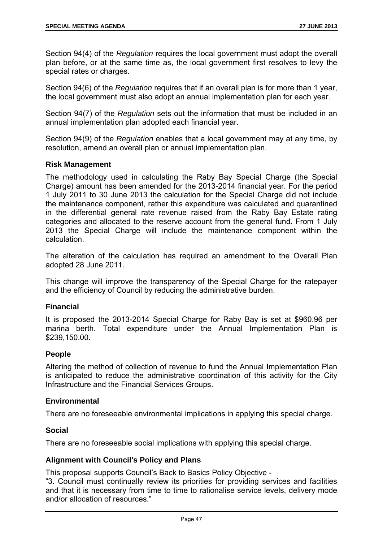Section 94(4) of the *Regulation* requires the local government must adopt the overall plan before, or at the same time as, the local government first resolves to levy the special rates or charges.

Section 94(6) of the *Regulation* requires that if an overall plan is for more than 1 year, the local government must also adopt an annual implementation plan for each year.

Section 94(7) of the *Regulation* sets out the information that must be included in an annual implementation plan adopted each financial year.

Section 94(9) of the *Regulation* enables that a local government may at any time, by resolution, amend an overall plan or annual implementation plan.

# **Risk Management**

The methodology used in calculating the Raby Bay Special Charge (the Special Charge) amount has been amended for the 2013-2014 financial year. For the period 1 July 2011 to 30 June 2013 the calculation for the Special Charge did not include the maintenance component, rather this expenditure was calculated and quarantined in the differential general rate revenue raised from the Raby Bay Estate rating categories and allocated to the reserve account from the general fund. From 1 July 2013 the Special Charge will include the maintenance component within the calculation.

The alteration of the calculation has required an amendment to the Overall Plan adopted 28 June 2011.

This change will improve the transparency of the Special Charge for the ratepayer and the efficiency of Council by reducing the administrative burden.

#### **Financial**

It is proposed the 2013-2014 Special Charge for Raby Bay is set at \$960.96 per marina berth. Total expenditure under the Annual Implementation Plan is \$239,150.00.

#### **People**

Altering the method of collection of revenue to fund the Annual Implementation Plan is anticipated to reduce the administrative coordination of this activity for the City Infrastructure and the Financial Services Groups.

#### **Environmental**

There are no foreseeable environmental implications in applying this special charge.

#### **Social**

There are no foreseeable social implications with applying this special charge.

#### **Alignment with Council's Policy and Plans**

This proposal supports Council's Back to Basics Policy Objective -

"3. Council must continually review its priorities for providing services and facilities and that it is necessary from time to time to rationalise service levels, delivery mode and/or allocation of resources."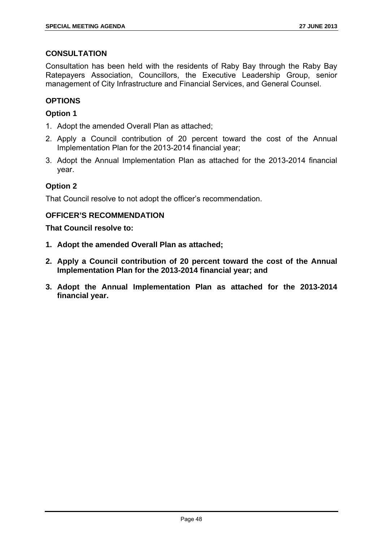# **CONSULTATION**

Consultation has been held with the residents of Raby Bay through the Raby Bay Ratepayers Association, Councillors, the Executive Leadership Group, senior management of City Infrastructure and Financial Services, and General Counsel.

# **OPTIONS**

# **Option 1**

- 1. Adopt the amended Overall Plan as attached;
- 2. Apply a Council contribution of 20 percent toward the cost of the Annual Implementation Plan for the 2013-2014 financial year;
- 3. Adopt the Annual Implementation Plan as attached for the 2013-2014 financial year.

# **Option 2**

That Council resolve to not adopt the officer's recommendation.

# **OFFICER'S RECOMMENDATION**

- **1. Adopt the amended Overall Plan as attached;**
- **2. Apply a Council contribution of 20 percent toward the cost of the Annual Implementation Plan for the 2013-2014 financial year; and**
- **3. Adopt the Annual Implementation Plan as attached for the 2013-2014 financial year.**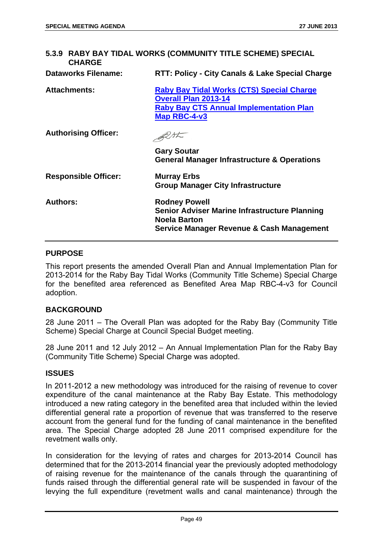| 5.3.9 RABY BAY TIDAL WORKS (COMMUNITY TITLE SCHEME) SPECIAL<br><b>CHARGE</b> |                                                                                                                                                   |  |
|------------------------------------------------------------------------------|---------------------------------------------------------------------------------------------------------------------------------------------------|--|
| <b>Dataworks Filename:</b>                                                   | RTT: Policy - City Canals & Lake Special Charge                                                                                                   |  |
| <b>Attachments:</b>                                                          | <b>Raby Bay Tidal Works (CTS) Special Charge</b><br><b>Overall Plan 2013-14</b><br><b>Raby Bay CTS Annual Implementation Plan</b><br>Map RBC-4-v3 |  |
| <b>Authorising Officer:</b>                                                  |                                                                                                                                                   |  |
|                                                                              | <b>Gary Soutar</b><br><b>General Manager Infrastructure &amp; Operations</b>                                                                      |  |
| <b>Responsible Officer:</b>                                                  | <b>Murray Erbs</b><br><b>Group Manager City Infrastructure</b>                                                                                    |  |
| <b>Authors:</b>                                                              | <b>Rodney Powell</b><br><b>Senior Adviser Marine Infrastructure Planning</b><br><b>Noela Barton</b><br>Service Manager Revenue & Cash Management  |  |

#### **PURPOSE**

This report presents the amended Overall Plan and Annual Implementation Plan for 2013-2014 for the Raby Bay Tidal Works (Community Title Scheme) Special Charge for the benefited area referenced as Benefited Area Map RBC-4-v3 for Council adoption.

#### **BACKGROUND**

28 June 2011 – The Overall Plan was adopted for the Raby Bay (Community Title Scheme) Special Charge at Council Special Budget meeting.

28 June 2011 and 12 July 2012 – An Annual Implementation Plan for the Raby Bay (Community Title Scheme) Special Charge was adopted.

#### **ISSUES**

In 2011-2012 a new methodology was introduced for the raising of revenue to cover expenditure of the canal maintenance at the Raby Bay Estate. This methodology introduced a new rating category in the benefited area that included within the levied differential general rate a proportion of revenue that was transferred to the reserve account from the general fund for the funding of canal maintenance in the benefited area. The Special Charge adopted 28 June 2011 comprised expenditure for the revetment walls only.

In consideration for the levying of rates and charges for 2013-2014 Council has determined that for the 2013-2014 financial year the previously adopted methodology of raising revenue for the maintenance of the canals through the quarantining of funds raised through the differential general rate will be suspended in favour of the levying the full expenditure (revetment walls and canal maintenance) through the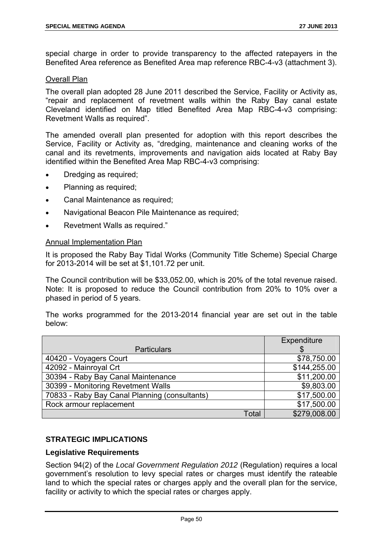special charge in order to provide transparency to the affected ratepayers in the Benefited Area reference as Benefited Area map reference RBC-4-v3 (attachment 3).

#### Overall Plan

The overall plan adopted 28 June 2011 described the Service, Facility or Activity as, "repair and replacement of revetment walls within the Raby Bay canal estate Cleveland identified on Map titled Benefited Area Map RBC-4-v3 comprising: Revetment Walls as required".

The amended overall plan presented for adoption with this report describes the Service, Facility or Activity as, "dredging, maintenance and cleaning works of the canal and its revetments, improvements and navigation aids located at Raby Bay identified within the Benefited Area Map RBC-4-v3 comprising:

- Dredging as required;
- Planning as required;
- Canal Maintenance as required;
- Navigational Beacon Pile Maintenance as required;
- Revetment Walls as required."

#### Annual Implementation Plan

It is proposed the Raby Bay Tidal Works (Community Title Scheme) Special Charge for 2013-2014 will be set at \$1,101.72 per unit.

The Council contribution will be \$33,052.00, which is 20% of the total revenue raised. Note: It is proposed to reduce the Council contribution from 20% to 10% over a phased in period of 5 years.

The works programmed for the 2013-2014 financial year are set out in the table below:

|                                               | Expenditure  |
|-----------------------------------------------|--------------|
| <b>Particulars</b>                            |              |
| 40420 - Voyagers Court                        | \$78,750.00  |
| 42092 - Mainroyal Crt                         | \$144,255.00 |
| 30394 - Raby Bay Canal Maintenance            | \$11,200.00  |
| 30399 - Monitoring Revetment Walls            | \$9,803.00   |
| 70833 - Raby Bay Canal Planning (consultants) | \$17,500.00  |
| Rock armour replacement                       | \$17,500.00  |
| Total                                         | \$279,008.00 |

# **STRATEGIC IMPLICATIONS**

#### **Legislative Requirements**

Section 94(2) of the *Local Government Regulation 2012* (Regulation) requires a local government's resolution to levy special rates or charges must identify the rateable land to which the special rates or charges apply and the overall plan for the service, facility or activity to which the special rates or charges apply.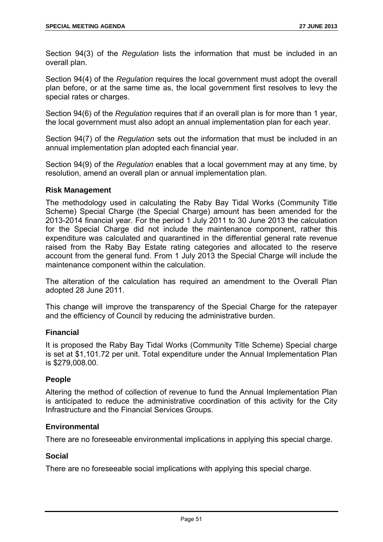Section 94(3) of the *Regulation* lists the information that must be included in an overall plan.

Section 94(4) of the *Regulation* requires the local government must adopt the overall plan before, or at the same time as, the local government first resolves to levy the special rates or charges.

Section 94(6) of the *Regulation* requires that if an overall plan is for more than 1 year, the local government must also adopt an annual implementation plan for each year.

Section 94(7) of the *Regulation* sets out the information that must be included in an annual implementation plan adopted each financial year.

Section 94(9) of the *Regulation* enables that a local government may at any time, by resolution, amend an overall plan or annual implementation plan.

#### **Risk Management**

The methodology used in calculating the Raby Bay Tidal Works (Community Title Scheme) Special Charge (the Special Charge) amount has been amended for the 2013-2014 financial year. For the period 1 July 2011 to 30 June 2013 the calculation for the Special Charge did not include the maintenance component, rather this expenditure was calculated and quarantined in the differential general rate revenue raised from the Raby Bay Estate rating categories and allocated to the reserve account from the general fund. From 1 July 2013 the Special Charge will include the maintenance component within the calculation.

The alteration of the calculation has required an amendment to the Overall Plan adopted 28 June 2011.

This change will improve the transparency of the Special Charge for the ratepayer and the efficiency of Council by reducing the administrative burden.

# **Financial**

It is proposed the Raby Bay Tidal Works (Community Title Scheme) Special charge is set at \$1,101.72 per unit. Total expenditure under the Annual Implementation Plan is \$279,008.00.

# **People**

Altering the method of collection of revenue to fund the Annual Implementation Plan is anticipated to reduce the administrative coordination of this activity for the City Infrastructure and the Financial Services Groups.

# **Environmental**

There are no foreseeable environmental implications in applying this special charge.

#### **Social**

There are no foreseeable social implications with applying this special charge.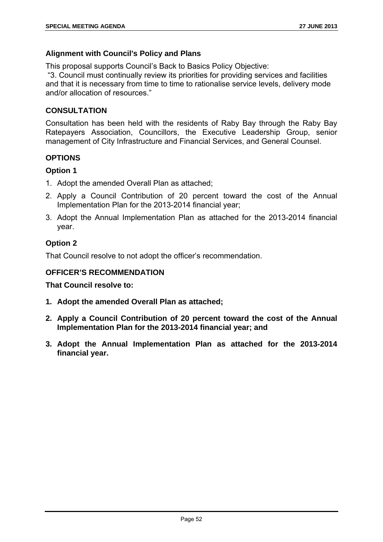# **Alignment with Council's Policy and Plans**

This proposal supports Council's Back to Basics Policy Objective:

 "3. Council must continually review its priorities for providing services and facilities and that it is necessary from time to time to rationalise service levels, delivery mode and/or allocation of resources."

# **CONSULTATION**

Consultation has been held with the residents of Raby Bay through the Raby Bay Ratepayers Association, Councillors, the Executive Leadership Group, senior management of City Infrastructure and Financial Services, and General Counsel.

# **OPTIONS**

# **Option 1**

- 1. Adopt the amended Overall Plan as attached;
- 2. Apply a Council Contribution of 20 percent toward the cost of the Annual Implementation Plan for the 2013-2014 financial year;
- 3. Adopt the Annual Implementation Plan as attached for the 2013-2014 financial year.

# **Option 2**

That Council resolve to not adopt the officer's recommendation.

# **OFFICER'S RECOMMENDATION**

- **1. Adopt the amended Overall Plan as attached;**
- **2. Apply a Council Contribution of 20 percent toward the cost of the Annual Implementation Plan for the 2013-2014 financial year; and**
- **3. Adopt the Annual Implementation Plan as attached for the 2013-2014 financial year.**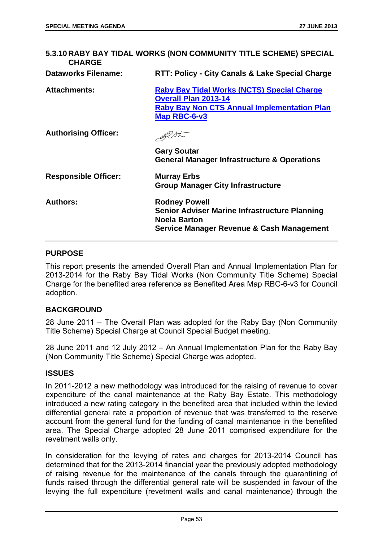| <b>CHARGE</b>               | 5.3.10 RABY BAY TIDAL WORKS (NON COMMUNITY TITLE SCHEME) SPECIAL                                                                                 |
|-----------------------------|--------------------------------------------------------------------------------------------------------------------------------------------------|
| <b>Dataworks Filename:</b>  | RTT: Policy - City Canals & Lake Special Charge                                                                                                  |
| <b>Attachments:</b>         | Raby Bay Tidal Works (NCTS) Special Charge<br><b>Overall Plan 2013-14</b><br><b>Raby Bay Non CTS Annual Implementation Plan</b><br>Map RBC-6-v3  |
| <b>Authorising Officer:</b> |                                                                                                                                                  |
|                             | <b>Gary Soutar</b><br><b>General Manager Infrastructure &amp; Operations</b>                                                                     |
| <b>Responsible Officer:</b> | <b>Murray Erbs</b><br><b>Group Manager City Infrastructure</b>                                                                                   |
| <b>Authors:</b>             | <b>Rodney Powell</b><br><b>Senior Adviser Marine Infrastructure Planning</b><br><b>Noela Barton</b><br>Service Manager Revenue & Cash Management |

#### **PURPOSE**

This report presents the amended Overall Plan and Annual Implementation Plan for 2013-2014 for the Raby Bay Tidal Works (Non Community Title Scheme) Special Charge for the benefited area reference as Benefited Area Map RBC-6-v3 for Council adoption.

#### **BACKGROUND**

28 June 2011 – The Overall Plan was adopted for the Raby Bay (Non Community Title Scheme) Special Charge at Council Special Budget meeting.

28 June 2011 and 12 July 2012 – An Annual Implementation Plan for the Raby Bay (Non Community Title Scheme) Special Charge was adopted.

#### **ISSUES**

In 2011-2012 a new methodology was introduced for the raising of revenue to cover expenditure of the canal maintenance at the Raby Bay Estate. This methodology introduced a new rating category in the benefited area that included within the levied differential general rate a proportion of revenue that was transferred to the reserve account from the general fund for the funding of canal maintenance in the benefited area. The Special Charge adopted 28 June 2011 comprised expenditure for the revetment walls only.

In consideration for the levying of rates and charges for 2013-2014 Council has determined that for the 2013-2014 financial year the previously adopted methodology of raising revenue for the maintenance of the canals through the quarantining of funds raised through the differential general rate will be suspended in favour of the levying the full expenditure (revetment walls and canal maintenance) through the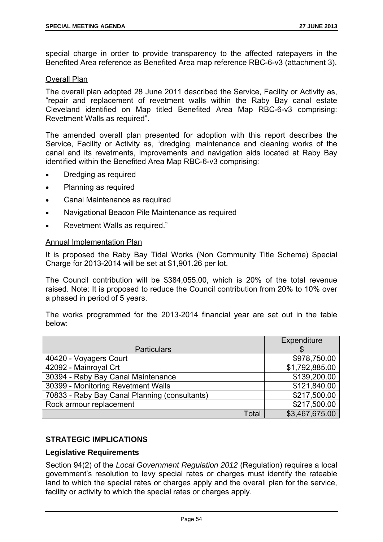special charge in order to provide transparency to the affected ratepayers in the Benefited Area reference as Benefited Area map reference RBC-6-v3 (attachment 3).

#### Overall Plan

The overall plan adopted 28 June 2011 described the Service, Facility or Activity as, "repair and replacement of revetment walls within the Raby Bay canal estate Cleveland identified on Map titled Benefited Area Map RBC-6-v3 comprising: Revetment Walls as required".

The amended overall plan presented for adoption with this report describes the Service, Facility or Activity as, "dredging, maintenance and cleaning works of the canal and its revetments, improvements and navigation aids located at Raby Bay identified within the Benefited Area Map RBC-6-v3 comprising:

- Dredging as required
- Planning as required
- Canal Maintenance as required
- Navigational Beacon Pile Maintenance as required
- Revetment Walls as required."

#### Annual Implementation Plan

It is proposed the Raby Bay Tidal Works (Non Community Title Scheme) Special Charge for 2013-2014 will be set at \$1,901.26 per lot.

The Council contribution will be \$384,055.00, which is 20% of the total revenue raised. Note: It is proposed to reduce the Council contribution from 20% to 10% over a phased in period of 5 years.

The works programmed for the 2013-2014 financial year are set out in the table below:

|                                               |              | Expenditure    |
|-----------------------------------------------|--------------|----------------|
| <b>Particulars</b>                            |              |                |
| 40420 - Voyagers Court                        |              | \$978,750.00   |
| 42092 - Mainroyal Crt                         |              | \$1,792,885.00 |
| 30394 - Raby Bay Canal Maintenance            |              | \$139,200.00   |
| 30399 - Monitoring Revetment Walls            |              | \$121,840.00   |
| 70833 - Raby Bay Canal Planning (consultants) |              | \$217,500.00   |
| Rock armour replacement                       |              | \$217,500.00   |
|                                               | <b>Total</b> | \$3,467,675.00 |

# **STRATEGIC IMPLICATIONS**

# **Legislative Requirements**

Section 94(2) of the *Local Government Regulation 2012* (Regulation) requires a local government's resolution to levy special rates or charges must identify the rateable land to which the special rates or charges apply and the overall plan for the service, facility or activity to which the special rates or charges apply.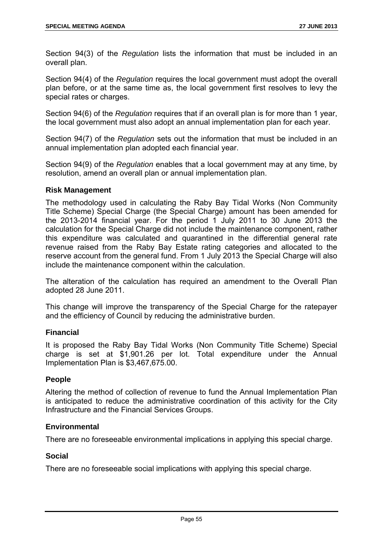Section 94(3) of the *Regulation* lists the information that must be included in an overall plan.

Section 94(4) of the *Regulation* requires the local government must adopt the overall plan before, or at the same time as, the local government first resolves to levy the special rates or charges.

Section 94(6) of the *Regulation* requires that if an overall plan is for more than 1 year, the local government must also adopt an annual implementation plan for each year.

Section 94(7) of the *Regulation* sets out the information that must be included in an annual implementation plan adopted each financial year.

Section 94(9) of the *Regulation* enables that a local government may at any time, by resolution, amend an overall plan or annual implementation plan.

#### **Risk Management**

The methodology used in calculating the Raby Bay Tidal Works (Non Community Title Scheme) Special Charge (the Special Charge) amount has been amended for the 2013-2014 financial year. For the period 1 July 2011 to 30 June 2013 the calculation for the Special Charge did not include the maintenance component, rather this expenditure was calculated and quarantined in the differential general rate revenue raised from the Raby Bay Estate rating categories and allocated to the reserve account from the general fund. From 1 July 2013 the Special Charge will also include the maintenance component within the calculation.

The alteration of the calculation has required an amendment to the Overall Plan adopted 28 June 2011.

This change will improve the transparency of the Special Charge for the ratepayer and the efficiency of Council by reducing the administrative burden.

# **Financial**

It is proposed the Raby Bay Tidal Works (Non Community Title Scheme) Special charge is set at \$1,901.26 per lot. Total expenditure under the Annual Implementation Plan is \$3,467,675.00.

# **People**

Altering the method of collection of revenue to fund the Annual Implementation Plan is anticipated to reduce the administrative coordination of this activity for the City Infrastructure and the Financial Services Groups.

# **Environmental**

There are no foreseeable environmental implications in applying this special charge.

#### **Social**

There are no foreseeable social implications with applying this special charge.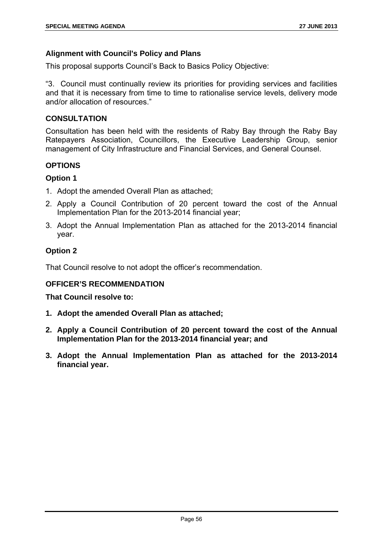# **Alignment with Council's Policy and Plans**

This proposal supports Council's Back to Basics Policy Objective:

"3. Council must continually review its priorities for providing services and facilities and that it is necessary from time to time to rationalise service levels, delivery mode and/or allocation of resources."

# **CONSULTATION**

Consultation has been held with the residents of Raby Bay through the Raby Bay Ratepayers Association, Councillors, the Executive Leadership Group, senior management of City Infrastructure and Financial Services, and General Counsel.

# **OPTIONS**

# **Option 1**

- 1. Adopt the amended Overall Plan as attached;
- 2. Apply a Council Contribution of 20 percent toward the cost of the Annual Implementation Plan for the 2013-2014 financial year;
- 3. Adopt the Annual Implementation Plan as attached for the 2013-2014 financial year.

# **Option 2**

That Council resolve to not adopt the officer's recommendation.

# **OFFICER'S RECOMMENDATION**

- **1. Adopt the amended Overall Plan as attached;**
- **2. Apply a Council Contribution of 20 percent toward the cost of the Annual Implementation Plan for the 2013-2014 financial year; and**
- **3. Adopt the Annual Implementation Plan as attached for the 2013-2014 financial year.**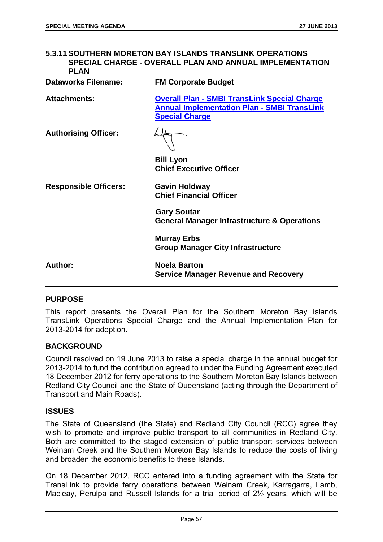# **5.3.11 SOUTHERN MORETON BAY ISLANDS TRANSLINK OPERATIONS SPECIAL CHARGE - OVERALL PLAN AND ANNUAL IMPLEMENTATION PLAN Dataworks Filename: FM Corporate Budget Attachments: Overall Plan - SMBI TransLink Special Charge Annual Implementation Plan - SMBI TransLink**

**Special Charge**

**Authorising Officer:** 

**Bill Lyon Chief Executive Officer** 

**Responsible Officers: Gavin Holdway** 

**Chief Financial Officer** 

**Gary Soutar General Manager Infrastructure & Operations** 

**Murray Erbs Group Manager City Infrastructure** 

**Author: Noela Barton Service Manager Revenue and Recovery** 

#### **PURPOSE**

This report presents the Overall Plan for the Southern Moreton Bay Islands TransLink Operations Special Charge and the Annual Implementation Plan for 2013-2014 for adoption.

#### **BACKGROUND**

Council resolved on 19 June 2013 to raise a special charge in the annual budget for 2013-2014 to fund the contribution agreed to under the Funding Agreement executed 18 December 2012 for ferry operations to the Southern Moreton Bay Islands between Redland City Council and the State of Queensland (acting through the Department of Transport and Main Roads).

#### **ISSUES**

The State of Queensland (the State) and Redland City Council (RCC) agree they wish to promote and improve public transport to all communities in Redland City. Both are committed to the staged extension of public transport services between Weinam Creek and the Southern Moreton Bay Islands to reduce the costs of living and broaden the economic benefits to these Islands.

On 18 December 2012, RCC entered into a funding agreement with the State for TransLink to provide ferry operations between Weinam Creek, Karragarra, Lamb, Macleay, Perulpa and Russell Islands for a trial period of 2½ years, which will be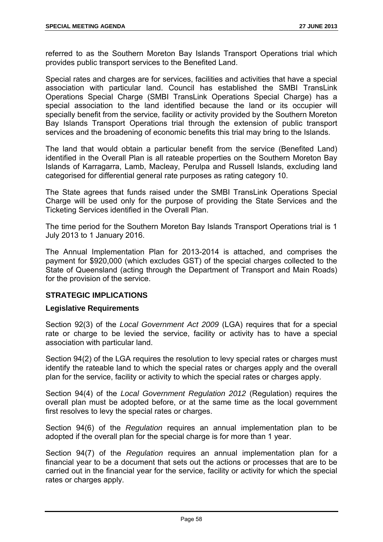referred to as the Southern Moreton Bay Islands Transport Operations trial which provides public transport services to the Benefited Land.

Special rates and charges are for services, facilities and activities that have a special association with particular land. Council has established the SMBI TransLink Operations Special Charge (SMBI TransLink Operations Special Charge) has a special association to the land identified because the land or its occupier will specially benefit from the service, facility or activity provided by the Southern Moreton Bay Islands Transport Operations trial through the extension of public transport services and the broadening of economic benefits this trial may bring to the Islands.

The land that would obtain a particular benefit from the service (Benefited Land) identified in the Overall Plan is all rateable properties on the Southern Moreton Bay Islands of Karragarra, Lamb, Macleay, Perulpa and Russell Islands, excluding land categorised for differential general rate purposes as rating category 10.

The State agrees that funds raised under the SMBI TransLink Operations Special Charge will be used only for the purpose of providing the State Services and the Ticketing Services identified in the Overall Plan.

The time period for the Southern Moreton Bay Islands Transport Operations trial is 1 July 2013 to 1 January 2016.

The Annual Implementation Plan for 2013-2014 is attached, and comprises the payment for \$920,000 (which excludes GST) of the special charges collected to the State of Queensland (acting through the Department of Transport and Main Roads) for the provision of the service.

# **STRATEGIC IMPLICATIONS**

# **Legislative Requirements**

Section 92(3) of the *Local Government Act 2009* (LGA) requires that for a special rate or charge to be levied the service, facility or activity has to have a special association with particular land.

Section 94(2) of the LGA requires the resolution to levy special rates or charges must identify the rateable land to which the special rates or charges apply and the overall plan for the service, facility or activity to which the special rates or charges apply.

Section 94(4) of the *Local Government Regulation 2012* (Regulation) requires the overall plan must be adopted before, or at the same time as the local government first resolves to levy the special rates or charges.

Section 94(6) of the *Regulation* requires an annual implementation plan to be adopted if the overall plan for the special charge is for more than 1 year.

Section 94(7) of the *Regulation* requires an annual implementation plan for a financial year to be a document that sets out the actions or processes that are to be carried out in the financial year for the service, facility or activity for which the special rates or charges apply.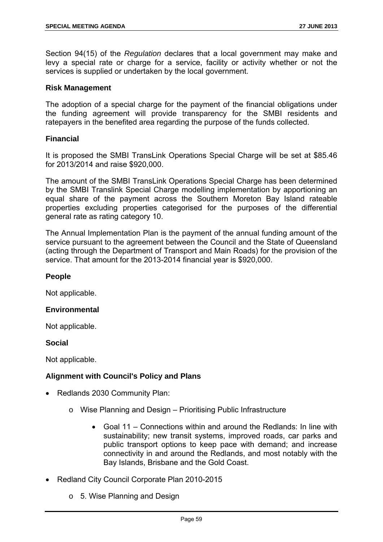Section 94(15) of the *Regulation* declares that a local government may make and levy a special rate or charge for a service, facility or activity whether or not the services is supplied or undertaken by the local government.

#### **Risk Management**

The adoption of a special charge for the payment of the financial obligations under the funding agreement will provide transparency for the SMBI residents and ratepayers in the benefited area regarding the purpose of the funds collected.

# **Financial**

It is proposed the SMBI TransLink Operations Special Charge will be set at \$85.46 for 2013/2014 and raise \$920,000.

The amount of the SMBI TransLink Operations Special Charge has been determined by the SMBI Translink Special Charge modelling implementation by apportioning an equal share of the payment across the Southern Moreton Bay Island rateable properties excluding properties categorised for the purposes of the differential general rate as rating category 10.

The Annual Implementation Plan is the payment of the annual funding amount of the service pursuant to the agreement between the Council and the State of Queensland (acting through the Department of Transport and Main Roads) for the provision of the service. That amount for the 2013-2014 financial year is \$920,000.

#### **People**

Not applicable.

#### **Environmental**

Not applicable.

#### **Social**

Not applicable.

# **Alignment with Council's Policy and Plans**

- Redlands 2030 Community Plan:
	- o Wise Planning and Design Prioritising Public Infrastructure
		- Goal 11 Connections within and around the Redlands: In line with sustainability; new transit systems, improved roads, car parks and public transport options to keep pace with demand; and increase connectivity in and around the Redlands, and most notably with the Bay Islands, Brisbane and the Gold Coast.
- Redland City Council Corporate Plan 2010-2015
	- o 5. Wise Planning and Design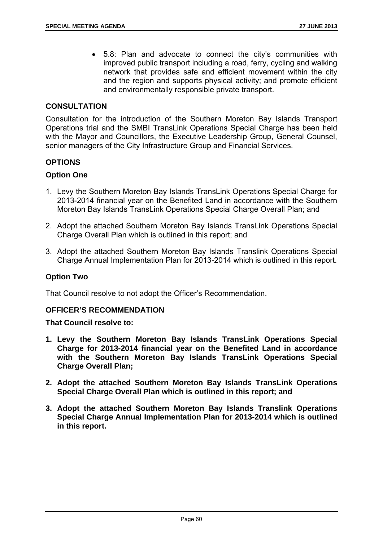5.8: Plan and advocate to connect the city's communities with improved public transport including a road, ferry, cycling and walking network that provides safe and efficient movement within the city and the region and supports physical activity; and promote efficient and environmentally responsible private transport.

#### **CONSULTATION**

Consultation for the introduction of the Southern Moreton Bay Islands Transport Operations trial and the SMBI TransLink Operations Special Charge has been held with the Mayor and Councillors, the Executive Leadership Group, General Counsel, senior managers of the City Infrastructure Group and Financial Services.

# **OPTIONS**

# **Option One**

- 1. Levy the Southern Moreton Bay Islands TransLink Operations Special Charge for 2013-2014 financial year on the Benefited Land in accordance with the Southern Moreton Bay Islands TransLink Operations Special Charge Overall Plan; and
- 2. Adopt the attached Southern Moreton Bay Islands TransLink Operations Special Charge Overall Plan which is outlined in this report; and
- 3. Adopt the attached Southern Moreton Bay Islands Translink Operations Special Charge Annual Implementation Plan for 2013-2014 which is outlined in this report.

#### **Option Two**

That Council resolve to not adopt the Officer's Recommendation.

#### **OFFICER'S RECOMMENDATION**

- **1. Levy the Southern Moreton Bay Islands TransLink Operations Special Charge for 2013-2014 financial year on the Benefited Land in accordance with the Southern Moreton Bay Islands TransLink Operations Special Charge Overall Plan;**
- **2. Adopt the attached Southern Moreton Bay Islands TransLink Operations Special Charge Overall Plan which is outlined in this report; and**
- **3. Adopt the attached Southern Moreton Bay Islands Translink Operations Special Charge Annual Implementation Plan for 2013-2014 which is outlined in this report.**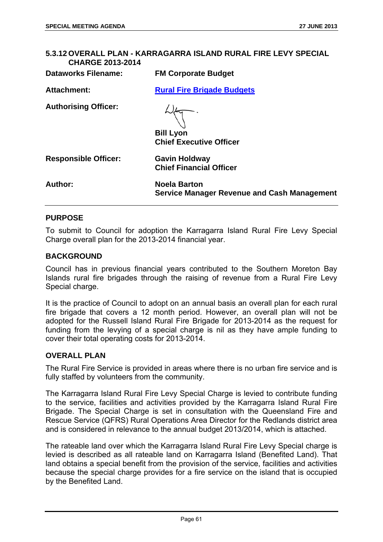# **5.3.12 OVERALL PLAN - KARRAGARRA ISLAND RURAL FIRE LEVY SPECIAL CHARGE 2013-2014 Dataworks Filename: FM Corporate Budget Attachment: Rural Fire Brigade Budgets Authorising Officer: Bill Lyon Chief Executive Officer Responsible Officer: Gavin Holdway Chief Financial Officer Author: Noela Barton Service Manager Revenue and Cash Management**

# **PURPOSE**

To submit to Council for adoption the Karragarra Island Rural Fire Levy Special Charge overall plan for the 2013-2014 financial year.

#### **BACKGROUND**

Council has in previous financial years contributed to the Southern Moreton Bay Islands rural fire brigades through the raising of revenue from a Rural Fire Levy Special charge.

It is the practice of Council to adopt on an annual basis an overall plan for each rural fire brigade that covers a 12 month period. However, an overall plan will not be adopted for the Russell Island Rural Fire Brigade for 2013-2014 as the request for funding from the levying of a special charge is nil as they have ample funding to cover their total operating costs for 2013-2014.

#### **OVERALL PLAN**

The Rural Fire Service is provided in areas where there is no urban fire service and is fully staffed by volunteers from the community.

The Karragarra Island Rural Fire Levy Special Charge is levied to contribute funding to the service, facilities and activities provided by the Karragarra Island Rural Fire Brigade. The Special Charge is set in consultation with the Queensland Fire and Rescue Service (QFRS) Rural Operations Area Director for the Redlands district area and is considered in relevance to the annual budget 2013/2014, which is attached.

The rateable land over which the Karragarra Island Rural Fire Levy Special charge is levied is described as all rateable land on Karragarra Island (Benefited Land). That land obtains a special benefit from the provision of the service, facilities and activities because the special charge provides for a fire service on the island that is occupied by the Benefited Land.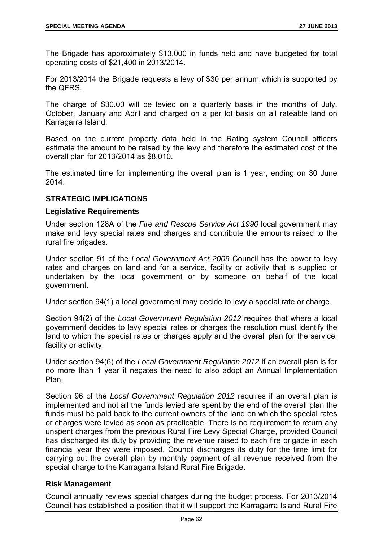The Brigade has approximately \$13,000 in funds held and have budgeted for total operating costs of \$21,400 in 2013/2014.

For 2013/2014 the Brigade requests a levy of \$30 per annum which is supported by the QFRS.

The charge of \$30.00 will be levied on a quarterly basis in the months of July, October, January and April and charged on a per lot basis on all rateable land on Karragarra Island.

Based on the current property data held in the Rating system Council officers estimate the amount to be raised by the levy and therefore the estimated cost of the overall plan for 2013/2014 as \$8,010.

The estimated time for implementing the overall plan is 1 year, ending on 30 June 2014.

# **STRATEGIC IMPLICATIONS**

# **Legislative Requirements**

Under section 128A of the *Fire and Rescue Service Act 1990* local government may make and levy special rates and charges and contribute the amounts raised to the rural fire brigades.

Under section 91 of the *Local Government Act 2009* Council has the power to levy rates and charges on land and for a service, facility or activity that is supplied or undertaken by the local government or by someone on behalf of the local government.

Under section 94(1) a local government may decide to levy a special rate or charge.

Section 94(2) of the *Local Government Regulation 2012* requires that where a local government decides to levy special rates or charges the resolution must identify the land to which the special rates or charges apply and the overall plan for the service, facility or activity.

Under section 94(6) of the *Local Government Regulation 2012* if an overall plan is for no more than 1 year it negates the need to also adopt an Annual Implementation Plan.

Section 96 of the *Local Government Regulation 2012* requires if an overall plan is implemented and not all the funds levied are spent by the end of the overall plan the funds must be paid back to the current owners of the land on which the special rates or charges were levied as soon as practicable. There is no requirement to return any unspent charges from the previous Rural Fire Levy Special Charge, provided Council has discharged its duty by providing the revenue raised to each fire brigade in each financial year they were imposed. Council discharges its duty for the time limit for carrying out the overall plan by monthly payment of all revenue received from the special charge to the Karragarra Island Rural Fire Brigade.

#### **Risk Management**

Council annually reviews special charges during the budget process. For 2013/2014 Council has established a position that it will support the Karragarra Island Rural Fire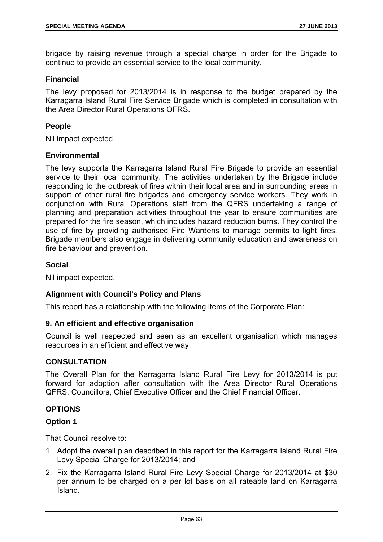brigade by raising revenue through a special charge in order for the Brigade to continue to provide an essential service to the local community.

#### **Financial**

The levy proposed for 2013/2014 is in response to the budget prepared by the Karragarra Island Rural Fire Service Brigade which is completed in consultation with the Area Director Rural Operations QFRS.

# **People**

Nil impact expected.

#### **Environmental**

The levy supports the Karragarra Island Rural Fire Brigade to provide an essential service to their local community. The activities undertaken by the Brigade include responding to the outbreak of fires within their local area and in surrounding areas in support of other rural fire brigades and emergency service workers. They work in conjunction with Rural Operations staff from the QFRS undertaking a range of planning and preparation activities throughout the year to ensure communities are prepared for the fire season, which includes hazard reduction burns. They control the use of fire by providing authorised Fire Wardens to manage permits to light fires. Brigade members also engage in delivering community education and awareness on fire behaviour and prevention.

# **Social**

Nil impact expected.

#### **Alignment with Council's Policy and Plans**

This report has a relationship with the following items of the Corporate Plan:

#### **9. An efficient and effective organisation**

Council is well respected and seen as an excellent organisation which manages resources in an efficient and effective way.

#### **CONSULTATION**

The Overall Plan for the Karragarra Island Rural Fire Levy for 2013/2014 is put forward for adoption after consultation with the Area Director Rural Operations QFRS, Councillors, Chief Executive Officer and the Chief Financial Officer.

# **OPTIONS**

# **Option 1**

- 1. Adopt the overall plan described in this report for the Karragarra Island Rural Fire Levy Special Charge for 2013/2014; and
- 2. Fix the Karragarra Island Rural Fire Levy Special Charge for 2013/2014 at \$30 per annum to be charged on a per lot basis on all rateable land on Karragarra Island.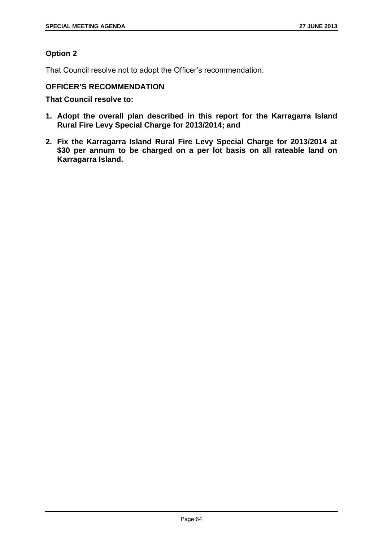# **Option 2**

That Council resolve not to adopt the Officer's recommendation.

# **OFFICER'S RECOMMENDATION**

- **1. Adopt the overall plan described in this report for the Karragarra Island Rural Fire Levy Special Charge for 2013/2014; and**
- **2. Fix the Karragarra Island Rural Fire Levy Special Charge for 2013/2014 at \$30 per annum to be charged on a per lot basis on all rateable land on Karragarra Island.**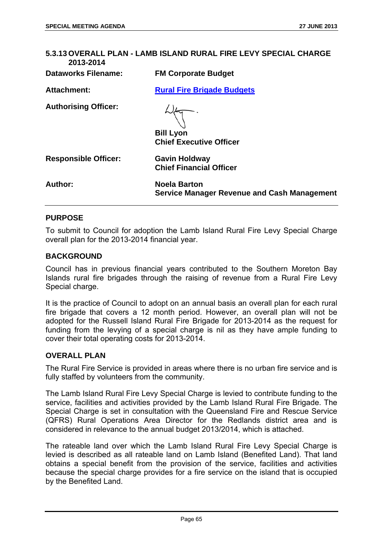| 5.3.13 OVERALL PLAN - LAMB ISLAND RURAL FIRE LEVY SPECIAL CHARGE<br>2013-2014 |                                                                    |  |
|-------------------------------------------------------------------------------|--------------------------------------------------------------------|--|
| <b>Dataworks Filename:</b>                                                    | <b>FM Corporate Budget</b>                                         |  |
| <b>Attachment:</b>                                                            | <b>Rural Fire Brigade Budgets</b>                                  |  |
| <b>Authorising Officer:</b>                                                   | <b>Bill Lyon</b><br><b>Chief Executive Officer</b>                 |  |
| <b>Responsible Officer:</b>                                                   | <b>Gavin Holdway</b><br><b>Chief Financial Officer</b>             |  |
| Author:                                                                       | <b>Noela Barton</b><br>Service Manager Revenue and Cash Management |  |

#### **PURPOSE**

To submit to Council for adoption the Lamb Island Rural Fire Levy Special Charge overall plan for the 2013-2014 financial year.

#### **BACKGROUND**

Council has in previous financial years contributed to the Southern Moreton Bay Islands rural fire brigades through the raising of revenue from a Rural Fire Levy Special charge.

It is the practice of Council to adopt on an annual basis an overall plan for each rural fire brigade that covers a 12 month period. However, an overall plan will not be adopted for the Russell Island Rural Fire Brigade for 2013-2014 as the request for funding from the levying of a special charge is nil as they have ample funding to cover their total operating costs for 2013-2014.

# **OVERALL PLAN**

The Rural Fire Service is provided in areas where there is no urban fire service and is fully staffed by volunteers from the community.

The Lamb Island Rural Fire Levy Special Charge is levied to contribute funding to the service, facilities and activities provided by the Lamb Island Rural Fire Brigade. The Special Charge is set in consultation with the Queensland Fire and Rescue Service (QFRS) Rural Operations Area Director for the Redlands district area and is considered in relevance to the annual budget 2013/2014, which is attached.

The rateable land over which the Lamb Island Rural Fire Levy Special Charge is levied is described as all rateable land on Lamb Island (Benefited Land). That land obtains a special benefit from the provision of the service, facilities and activities because the special charge provides for a fire service on the island that is occupied by the Benefited Land.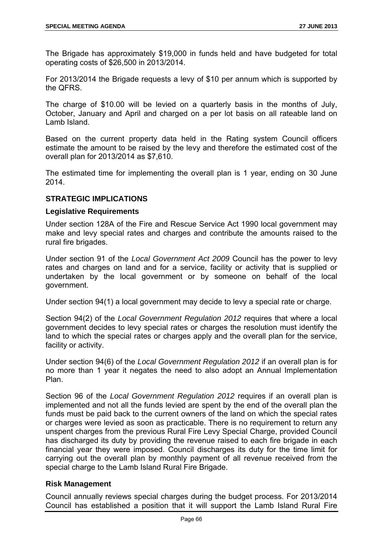The Brigade has approximately \$19,000 in funds held and have budgeted for total operating costs of \$26,500 in 2013/2014.

For 2013/2014 the Brigade requests a levy of \$10 per annum which is supported by the QFRS.

The charge of \$10.00 will be levied on a quarterly basis in the months of July, October, January and April and charged on a per lot basis on all rateable land on Lamb Island.

Based on the current property data held in the Rating system Council officers estimate the amount to be raised by the levy and therefore the estimated cost of the overall plan for 2013/2014 as \$7,610.

The estimated time for implementing the overall plan is 1 year, ending on 30 June 2014.

# **STRATEGIC IMPLICATIONS**

# **Legislative Requirements**

Under section 128A of the Fire and Rescue Service Act 1990 local government may make and levy special rates and charges and contribute the amounts raised to the rural fire brigades.

Under section 91 of the *Local Government Act 2009* Council has the power to levy rates and charges on land and for a service, facility or activity that is supplied or undertaken by the local government or by someone on behalf of the local government.

Under section 94(1) a local government may decide to levy a special rate or charge.

Section 94(2) of the *Local Government Regulation 2012* requires that where a local government decides to levy special rates or charges the resolution must identify the land to which the special rates or charges apply and the overall plan for the service, facility or activity.

Under section 94(6) of the *Local Government Regulation 2012* if an overall plan is for no more than 1 year it negates the need to also adopt an Annual Implementation Plan.

Section 96 of the *Local Government Regulation 2012* requires if an overall plan is implemented and not all the funds levied are spent by the end of the overall plan the funds must be paid back to the current owners of the land on which the special rates or charges were levied as soon as practicable. There is no requirement to return any unspent charges from the previous Rural Fire Levy Special Charge, provided Council has discharged its duty by providing the revenue raised to each fire brigade in each financial year they were imposed. Council discharges its duty for the time limit for carrying out the overall plan by monthly payment of all revenue received from the special charge to the Lamb Island Rural Fire Brigade.

#### **Risk Management**

Council annually reviews special charges during the budget process. For 2013/2014 Council has established a position that it will support the Lamb Island Rural Fire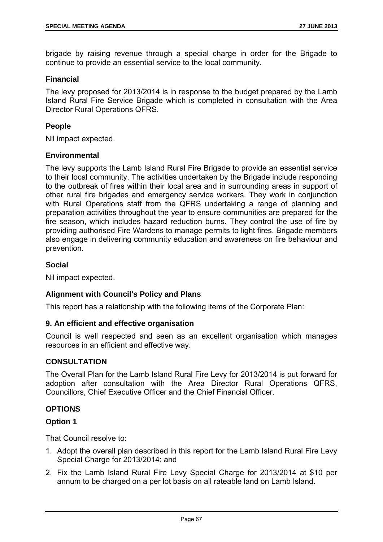brigade by raising revenue through a special charge in order for the Brigade to continue to provide an essential service to the local community.

# **Financial**

The levy proposed for 2013/2014 is in response to the budget prepared by the Lamb Island Rural Fire Service Brigade which is completed in consultation with the Area Director Rural Operations QFRS.

# **People**

Nil impact expected.

#### **Environmental**

The levy supports the Lamb Island Rural Fire Brigade to provide an essential service to their local community. The activities undertaken by the Brigade include responding to the outbreak of fires within their local area and in surrounding areas in support of other rural fire brigades and emergency service workers. They work in conjunction with Rural Operations staff from the QFRS undertaking a range of planning and preparation activities throughout the year to ensure communities are prepared for the fire season, which includes hazard reduction burns. They control the use of fire by providing authorised Fire Wardens to manage permits to light fires. Brigade members also engage in delivering community education and awareness on fire behaviour and prevention.

# **Social**

Nil impact expected.

# **Alignment with Council's Policy and Plans**

This report has a relationship with the following items of the Corporate Plan:

#### **9. An efficient and effective organisation**

Council is well respected and seen as an excellent organisation which manages resources in an efficient and effective way.

#### **CONSULTATION**

The Overall Plan for the Lamb Island Rural Fire Levy for 2013/2014 is put forward for adoption after consultation with the Area Director Rural Operations QFRS, Councillors, Chief Executive Officer and the Chief Financial Officer.

# **OPTIONS**

#### **Option 1**

- 1. Adopt the overall plan described in this report for the Lamb Island Rural Fire Levy Special Charge for 2013/2014; and
- 2. Fix the Lamb Island Rural Fire Levy Special Charge for 2013/2014 at \$10 per annum to be charged on a per lot basis on all rateable land on Lamb Island.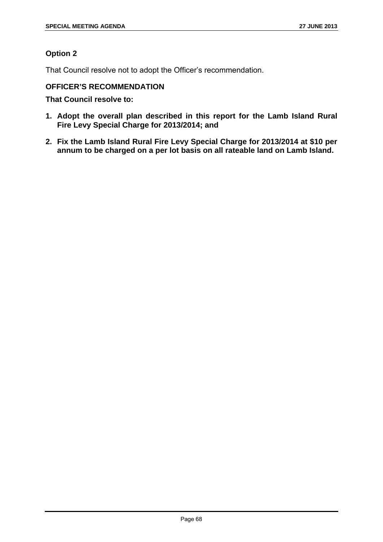# **Option 2**

That Council resolve not to adopt the Officer's recommendation.

# **OFFICER'S RECOMMENDATION**

- **1. Adopt the overall plan described in this report for the Lamb Island Rural Fire Levy Special Charge for 2013/2014; and**
- **2. Fix the Lamb Island Rural Fire Levy Special Charge for 2013/2014 at \$10 per annum to be charged on a per lot basis on all rateable land on Lamb Island.**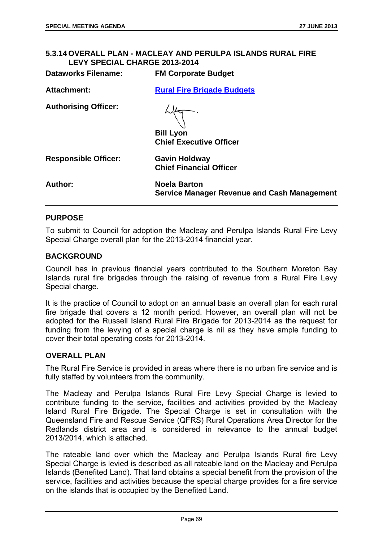# **5.3.14 OVERALL PLAN - MACLEAY AND PERULPA ISLANDS RURAL FIRE LEVY SPECIAL CHARGE 2013-2014**

| <b>Dataworks Filename:</b>  | <b>FM Corporate Budget</b>                                                |
|-----------------------------|---------------------------------------------------------------------------|
| <b>Attachment:</b>          | <b>Rural Fire Brigade Budgets</b>                                         |
| <b>Authorising Officer:</b> | <b>Bill Lyon</b><br><b>Chief Executive Officer</b>                        |
| <b>Responsible Officer:</b> | <b>Gavin Holdway</b><br><b>Chief Financial Officer</b>                    |
| Author:                     | <b>Noela Barton</b><br><b>Service Manager Revenue and Cash Management</b> |

# **PURPOSE**

To submit to Council for adoption the Macleay and Perulpa Islands Rural Fire Levy Special Charge overall plan for the 2013-2014 financial year.

#### **BACKGROUND**

Council has in previous financial years contributed to the Southern Moreton Bay Islands rural fire brigades through the raising of revenue from a Rural Fire Levy Special charge.

It is the practice of Council to adopt on an annual basis an overall plan for each rural fire brigade that covers a 12 month period. However, an overall plan will not be adopted for the Russell Island Rural Fire Brigade for 2013-2014 as the request for funding from the levying of a special charge is nil as they have ample funding to cover their total operating costs for 2013-2014.

# **OVERALL PLAN**

The Rural Fire Service is provided in areas where there is no urban fire service and is fully staffed by volunteers from the community.

The Macleay and Perulpa Islands Rural Fire Levy Special Charge is levied to contribute funding to the service, facilities and activities provided by the Macleay Island Rural Fire Brigade. The Special Charge is set in consultation with the Queensland Fire and Rescue Service (QFRS) Rural Operations Area Director for the Redlands district area and is considered in relevance to the annual budget 2013/2014, which is attached.

The rateable land over which the Macleay and Perulpa Islands Rural fire Levy Special Charge is levied is described as all rateable land on the Macleay and Perulpa Islands (Benefited Land). That land obtains a special benefit from the provision of the service, facilities and activities because the special charge provides for a fire service on the islands that is occupied by the Benefited Land.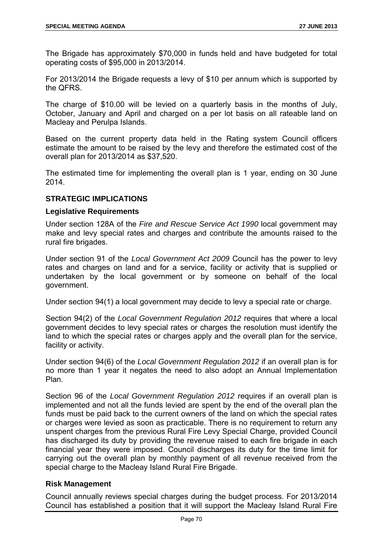The Brigade has approximately \$70,000 in funds held and have budgeted for total operating costs of \$95,000 in 2013/2014.

For 2013/2014 the Brigade requests a levy of \$10 per annum which is supported by the QFRS.

The charge of \$10.00 will be levied on a quarterly basis in the months of July, October, January and April and charged on a per lot basis on all rateable land on Macleay and Perulpa Islands.

Based on the current property data held in the Rating system Council officers estimate the amount to be raised by the levy and therefore the estimated cost of the overall plan for 2013/2014 as \$37,520.

The estimated time for implementing the overall plan is 1 year, ending on 30 June 2014.

# **STRATEGIC IMPLICATIONS**

# **Legislative Requirements**

Under section 128A of the *Fire and Rescue Service Act 1990* local government may make and levy special rates and charges and contribute the amounts raised to the rural fire brigades.

Under section 91 of the *Local Government Act 2009* Council has the power to levy rates and charges on land and for a service, facility or activity that is supplied or undertaken by the local government or by someone on behalf of the local government.

Under section 94(1) a local government may decide to levy a special rate or charge.

Section 94(2) of the *Local Government Regulation 2012* requires that where a local government decides to levy special rates or charges the resolution must identify the land to which the special rates or charges apply and the overall plan for the service, facility or activity.

Under section 94(6) of the *Local Government Regulation 2012* if an overall plan is for no more than 1 year it negates the need to also adopt an Annual Implementation Plan.

Section 96 of the *Local Government Regulation 2012* requires if an overall plan is implemented and not all the funds levied are spent by the end of the overall plan the funds must be paid back to the current owners of the land on which the special rates or charges were levied as soon as practicable. There is no requirement to return any unspent charges from the previous Rural Fire Levy Special Charge, provided Council has discharged its duty by providing the revenue raised to each fire brigade in each financial year they were imposed. Council discharges its duty for the time limit for carrying out the overall plan by monthly payment of all revenue received from the special charge to the Macleay Island Rural Fire Brigade.

#### **Risk Management**

Council annually reviews special charges during the budget process. For 2013/2014 Council has established a position that it will support the Macleay Island Rural Fire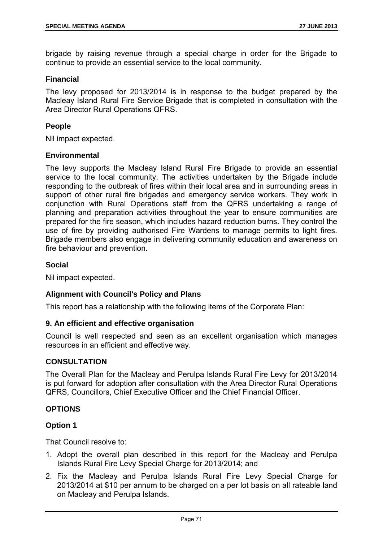brigade by raising revenue through a special charge in order for the Brigade to continue to provide an essential service to the local community.

# **Financial**

The levy proposed for 2013/2014 is in response to the budget prepared by the Macleay Island Rural Fire Service Brigade that is completed in consultation with the Area Director Rural Operations QFRS.

# **People**

Nil impact expected.

#### **Environmental**

The levy supports the Macleay Island Rural Fire Brigade to provide an essential service to the local community. The activities undertaken by the Brigade include responding to the outbreak of fires within their local area and in surrounding areas in support of other rural fire brigades and emergency service workers. They work in conjunction with Rural Operations staff from the QFRS undertaking a range of planning and preparation activities throughout the year to ensure communities are prepared for the fire season, which includes hazard reduction burns. They control the use of fire by providing authorised Fire Wardens to manage permits to light fires. Brigade members also engage in delivering community education and awareness on fire behaviour and prevention.

# **Social**

Nil impact expected.

# **Alignment with Council's Policy and Plans**

This report has a relationship with the following items of the Corporate Plan:

#### **9. An efficient and effective organisation**

Council is well respected and seen as an excellent organisation which manages resources in an efficient and effective way.

#### **CONSULTATION**

The Overall Plan for the Macleay and Perulpa Islands Rural Fire Levy for 2013/2014 is put forward for adoption after consultation with the Area Director Rural Operations QFRS, Councillors, Chief Executive Officer and the Chief Financial Officer.

# **OPTIONS**

# **Option 1**

- 1. Adopt the overall plan described in this report for the Macleay and Perulpa Islands Rural Fire Levy Special Charge for 2013/2014; and
- 2. Fix the Macleay and Perulpa Islands Rural Fire Levy Special Charge for 2013/2014 at \$10 per annum to be charged on a per lot basis on all rateable land on Macleay and Perulpa Islands.